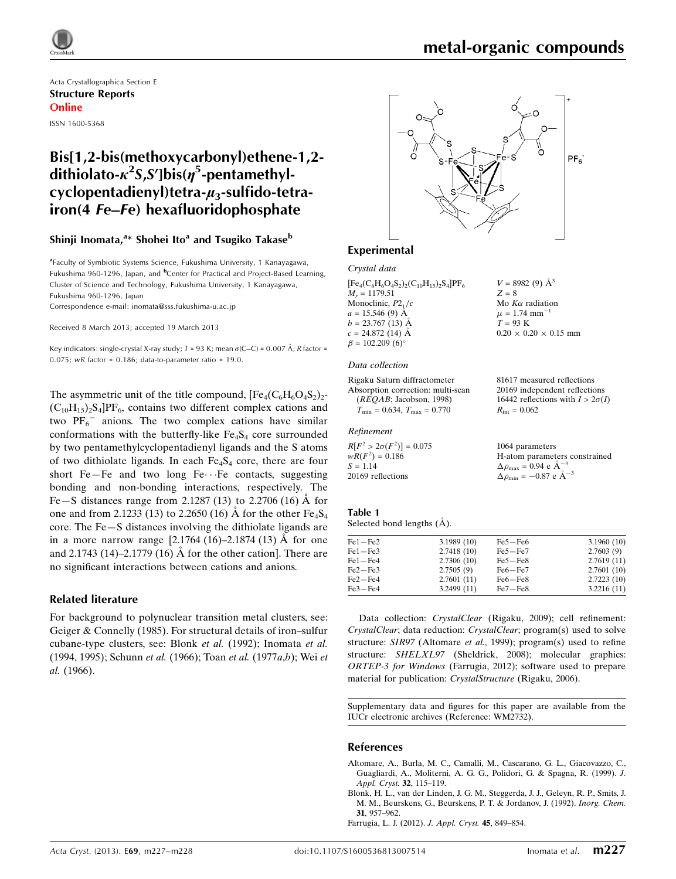$V = 8982(9)$   $\AA^3$  $Z = 8$ 

Mo  $K\alpha$  radiation  $\mu$  = 1.74 mm<sup>-</sup>

 $T = 93$  K

 $R_{\text{int}} = 0.062$ 

1064 parameters

 $\Delta \rho_{\text{max}} = 0.94 \text{ e A}^{-3}$  $\Delta \rho_{\text{min}} = -0.87 \text{ e A}^{-3}$ 

1

 $0.20 \times 0.20 \times 0.15$  mm

81617 measured reflections 20169 independent reflections 16442 reflections with  $I > 2\sigma(I)$ 

H-atom parameters constrained

Acta Crystallographica Section E Structure Reports Online ISSN 1600-5368

# Bis[1,2-bis(methoxycarbonyl)ethene-1,2 dithiolato- $\kappa^2$ S,S']bis( $\eta^5$ -pentamethylcyclopentadienyl)tetra- $\mu_3$ -sulfido-tetrairon(4 Fe–Fe) hexafluoridophosphate

### Shinji Inomata,<sup>a</sup>\* Shohei Ito<sup>a</sup> and Tsugiko Takase<sup>b</sup>

<sup>a</sup> Faculty of Symbiotic Systems Science, Fukushima University, 1 Kanayagawa, Fukushima 960-1296, Japan, and <sup>b</sup>Center for Practical and Project-Based Learning, Cluster of Science and Technology, Fukushima University, 1 Kanayagawa, Fukushima 960-1296, Japan

Correspondence e-mail: [inomata@sss.fukushima-u.ac.jp](https://scripts.iucr.org/cgi-bin/cr.cgi?rm=pdfbb&cnor=wm2732&bbid=BB14)

Received 8 March 2013; accepted 19 March 2013

Key indicators: single-crystal X-ray study; T = 93 K; mean  $\sigma$ (C–C) = 0.007 Å; R factor = 0.075;  $wR$  factor = 0.186; data-to-parameter ratio = 19.0.

The asymmetric unit of the title compound,  $[Fe_4(C_6H_6O_4S_2)_2$ - $(C_{10}H_{15})_2S_4$ ]PF<sub>6</sub>, contains two different complex cations and two  $PF_6^-$  anions. The two complex cations have similar conformations with the butterfly-like  $Fe<sub>4</sub>S<sub>4</sub>$  core surrounded by two pentamethylcyclopentadienyl ligands and the S atoms of two dithiolate ligands. In each  $Fe<sub>4</sub>S<sub>4</sub>$  core, there are four short Fe-Fe and two long Fe $\cdots$ Fe contacts, suggesting bonding and non-bonding interactions, respectively. The Fe—S distances range from 2.1287 (13) to 2.2706 (16)  $\AA$  for one and from 2.1233 (13) to 2.2650 (16) Å for the other  $Fe_4S_4$ core. The Fe—S distances involving the dithiolate ligands are in a more narrow range  $[2.1764 (16) - 2.1874 (13)$  Å for one and 2.1743 (14)–2.1779 (16)  $\AA$  for the other cation]. There are no significant interactions between cations and anions.

### Related literature

For background to polynuclear transition metal clusters, see: Geiger & Connelly (1985). For structural details of iron–sulfur cubane-type clusters, see: Blonk et al. (1992); Inomata et al. (1994, 1995); Schunn et al. (1966); Toan et al. (1977a,b); Wei et al. (1966).



### Experimental

### Crystal data

| $[Fe_{4}(C_{6}H_{6}O_{4}S_{2})_{2}(C_{10}H_{15})_{2}S_{4}]PF_{6}$ |  |
|-------------------------------------------------------------------|--|
| $M_r = 1179.51$                                                   |  |
| Monoclinic, $P21/c$                                               |  |
| $a = 15.546(9)$ A                                                 |  |
| $b = 23.767(13)$ Å                                                |  |
| $c = 24.872(14)$ A                                                |  |
| $\beta = 102.209(6)^{\circ}$                                      |  |

#### Data collection

Rigaku Saturn diffractometer Absorption correction: multi-scan (REQAB; Jacobson, 1998)  $T_{\text{min}} = 0.634, T_{\text{max}} = 0.770$ 

### Refinement

 $R[F^2 > 2\sigma(F^2)] = 0.075$  $wR(F^2) = 0.186$  $S = 1.14$ 20169 reflections

#### Table 1 Selected bond lengths  $(\AA)$ .

| $Fe1 - Fe2$ | 3.1989(10) | $Fe5 - Fe6$ | 3.1960(10) |
|-------------|------------|-------------|------------|
| $Fe1 - Fe3$ | 2.7418(10) | $Fe5 - Fe7$ | 2.7603(9)  |
| $Fe1 - Fe4$ | 2.7306(10) | $Fe5 - Fe8$ | 2.7619(11) |
| $Fe2 - Fe3$ | 2.7505(9)  | $Fe6 - Fe7$ | 2.7601(10) |
| $Fe2 - Fe4$ | 2.7601(11) | $Fe6 - Fe8$ | 2.7223(10) |
| $Fe3 - Fe4$ | 3.2499(11) | $Fe7 - Fe8$ | 3.2216(11) |

Data collection: CrystalClear (Rigaku, 2009); cell refinement: CrystalClear; data reduction: CrystalClear; program(s) used to solve structure: SIR97 (Altomare et al., 1999); program(s) used to refine structure: SHELXL97 (Sheldrick, 2008); molecular graphics: ORTEP-3 for Windows (Farrugia, 2012); software used to prepare material for publication: CrystalStructure (Rigaku, 2006).

Supplementary data and figures for this paper are available from the IUCr electronic archives (Reference: WM2732).

### References

- [Altomare, A., Burla, M. C., Camalli, M., Cascarano, G. L., Giacovazzo, C.,](https://scripts.iucr.org/cgi-bin/cr.cgi?rm=pdfbb&cnor=wm2732&bbid=BB1) [Guagliardi, A., Moliterni, A. G. G., Polidori, G. & Spagna, R. \(1999\).](https://scripts.iucr.org/cgi-bin/cr.cgi?rm=pdfbb&cnor=wm2732&bbid=BB1) J. [Appl. Cryst.](https://scripts.iucr.org/cgi-bin/cr.cgi?rm=pdfbb&cnor=wm2732&bbid=BB1) 32, 115–119.
- [Blonk, H. L., van der Linden, J. G. M., Steggerda, J. J., Geleyn, R. P., Smits, J.](https://scripts.iucr.org/cgi-bin/cr.cgi?rm=pdfbb&cnor=wm2732&bbid=BB2) [M. M., Beurskens, G., Beurskens, P. T. & Jordanov, J. \(1992\).](https://scripts.iucr.org/cgi-bin/cr.cgi?rm=pdfbb&cnor=wm2732&bbid=BB2) Inorg. Chem. 31[, 957–962.](https://scripts.iucr.org/cgi-bin/cr.cgi?rm=pdfbb&cnor=wm2732&bbid=BB2)

[Farrugia, L. J. \(2012\).](https://scripts.iucr.org/cgi-bin/cr.cgi?rm=pdfbb&cnor=wm2732&bbid=BB3) J. Appl. Cryst. 45, 849–854.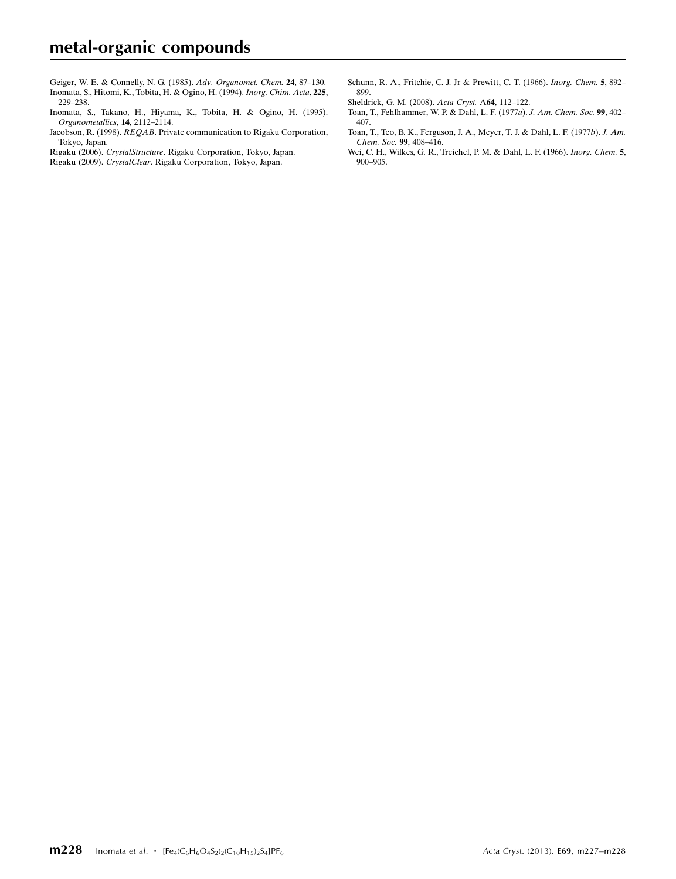- [Geiger, W. E. & Connelly, N. G. \(1985\).](https://scripts.iucr.org/cgi-bin/cr.cgi?rm=pdfbb&cnor=wm2732&bbid=BB4) Adv. Organomet. Chem. 24, 87–130. [Inomata, S., Hitomi, K., Tobita, H. & Ogino, H. \(1994\).](https://scripts.iucr.org/cgi-bin/cr.cgi?rm=pdfbb&cnor=wm2732&bbid=BB5) Inorg. Chim. Acta, 225, [229–238.](https://scripts.iucr.org/cgi-bin/cr.cgi?rm=pdfbb&cnor=wm2732&bbid=BB5)
- [Inomata, S., Takano, H., Hiyama, K., Tobita, H. & Ogino, H. \(1995\).](https://scripts.iucr.org/cgi-bin/cr.cgi?rm=pdfbb&cnor=wm2732&bbid=BB6) [Organometallics](https://scripts.iucr.org/cgi-bin/cr.cgi?rm=pdfbb&cnor=wm2732&bbid=BB6), 14, 2112–2114.
- Jacobson, R. (1998). REQAB[. Private communication to Rigaku Corporation,](https://scripts.iucr.org/cgi-bin/cr.cgi?rm=pdfbb&cnor=wm2732&bbid=BB7) [Tokyo, Japan.](https://scripts.iucr.org/cgi-bin/cr.cgi?rm=pdfbb&cnor=wm2732&bbid=BB7)
- Rigaku (2006). CrystalStructure[. Rigaku Corporation, Tokyo, Japan.](https://scripts.iucr.org/cgi-bin/cr.cgi?rm=pdfbb&cnor=wm2732&bbid=BB8)
- Rigaku (2009). CrystalClear[. Rigaku Corporation, Tokyo, Japan.](https://scripts.iucr.org/cgi-bin/cr.cgi?rm=pdfbb&cnor=wm2732&bbid=BB9)
- [Schunn, R. A., Fritchie, C. J. Jr & Prewitt, C. T. \(1966\).](https://scripts.iucr.org/cgi-bin/cr.cgi?rm=pdfbb&cnor=wm2732&bbid=BB10) Inorg. Chem. 5, 892– [899.](https://scripts.iucr.org/cgi-bin/cr.cgi?rm=pdfbb&cnor=wm2732&bbid=BB10)
- [Sheldrick, G. M. \(2008\).](https://scripts.iucr.org/cgi-bin/cr.cgi?rm=pdfbb&cnor=wm2732&bbid=BB11) Acta Cryst. A64, 112–122.
- [Toan, T., Fehlhammer, W. P. & Dahl, L. F. \(1977](https://scripts.iucr.org/cgi-bin/cr.cgi?rm=pdfbb&cnor=wm2732&bbid=BB12)a). J. Am. Chem. Soc. 99, 402– [407.](https://scripts.iucr.org/cgi-bin/cr.cgi?rm=pdfbb&cnor=wm2732&bbid=BB12)
- [Toan, T., Teo, B. K., Ferguson, J. A., Meyer, T. J. & Dahl, L. F. \(1977](https://scripts.iucr.org/cgi-bin/cr.cgi?rm=pdfbb&cnor=wm2732&bbid=BB13)b). J. Am. [Chem. Soc.](https://scripts.iucr.org/cgi-bin/cr.cgi?rm=pdfbb&cnor=wm2732&bbid=BB13) 99, 408–416.
- [Wei, C. H., Wilkes, G. R., Treichel, P. M. & Dahl, L. F. \(1966\).](https://scripts.iucr.org/cgi-bin/cr.cgi?rm=pdfbb&cnor=wm2732&bbid=BB14) Inorg. Chem. 5, [900–905.](https://scripts.iucr.org/cgi-bin/cr.cgi?rm=pdfbb&cnor=wm2732&bbid=BB14)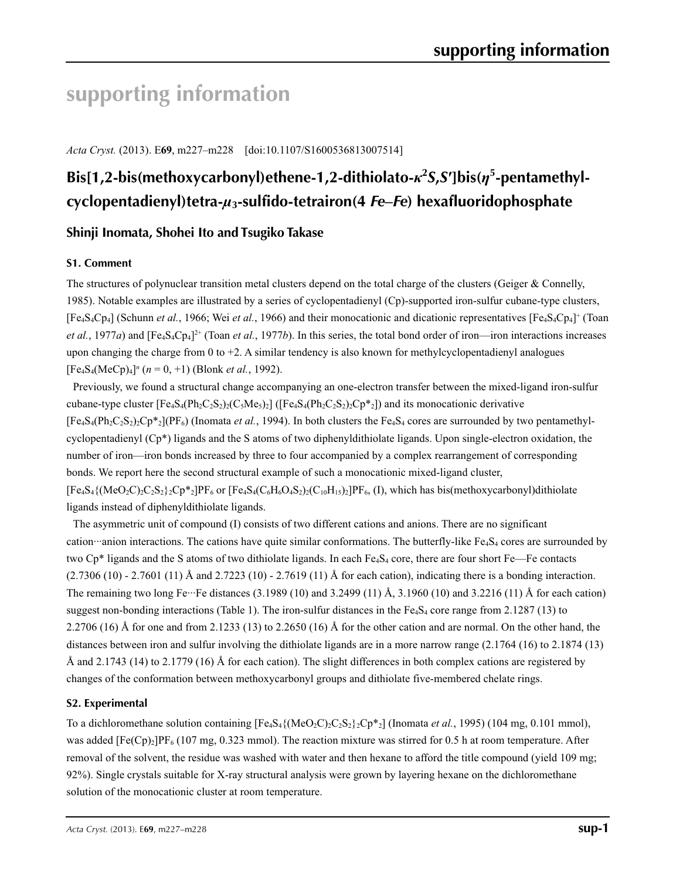# **supporting information**

*Acta Cryst.* (2013). E**69**, m227–m228 [doi:10.1107/S1600536813007514]

# **Bis[1,2-bis(methoxycarbonyl)ethene-1,2-dithiolato-***κ***<sup>2</sup>** *S***,***S***′]bis(***η***<sup>5</sup> -pentamethylcyclopentadienyl)tetra-***µ***3-sulfido-tetrairon(4** *Fe***–***Fe***) hexafluoridophosphate**

### **Shinji Inomata, Shohei Ito and Tsugiko Takase**

### **S1. Comment**

The structures of polynuclear transition metal clusters depend on the total charge of the clusters (Geiger & Connelly, 1985). Notable examples are illustrated by a series of cyclopentadienyl (Cp)-supported iron-sulfur cubane-type clusters, [Fe4S4Cp4] (Schunn *et al.*, 1966; Wei *et al.*, 1966) and their monocationic and dicationic representatives [Fe4S4Cp4]+ (Toan *et al.*, 1977*a*) and  $[Fe_4S_4Cp_4]^{2+}$  (Toan *et al.*, 1977*b*). In this series, the total bond order of iron—iron interactions increases upon changing the charge from 0 to  $+2$ . A similar tendency is also known for methylcyclopentadienyl analogues  $[Fe_4S_4(MeCp)_4]^n$  ( $n = 0, +1$ ) (Blonk *et al.*, 1992).

Previously, we found a structural change accompanying an one-electron transfer between the mixed-ligand iron-sulfur cubane-type cluster  $[Fe_4S_4(Ph_2C_2S_2)_2(C_5Me_5)_2]$  ( $[Fe_4S_4(Ph_2C_2S_2)_2Cp*_2]$ ) and its monocationic derivative  $[Fe_4S_4(Ph_2C_2S_2)_{2}Cp_{2}^{*}] (PF_6)$  (Inomata *et al.*, 1994). In both clusters the Fe<sub>4</sub>S<sub>4</sub> cores are surrounded by two pentamethylcyclopentadienyl (Cp\*) ligands and the S atoms of two diphenyldithiolate ligands. Upon single-electron oxidation, the number of iron—iron bonds increased by three to four accompanied by a complex rearrangement of corresponding bonds. We report here the second structural example of such a monocationic mixed-ligand cluster,  $[Fe_4S_4\{(MeO_2C)_2C_2S_2\} _2Cp^*2]PF_6$  or  $[Fe_4S_4(C_6H_6O_4S_2)_2(C_{10}H_{15})_2]PF_6$ , (I), which has bis(methoxycarbonyl)dithiolate ligands instead of diphenyldithiolate ligands.

The asymmetric unit of compound (I) consists of two different cations and anions. There are no significant cation···anion interactions. The cations have quite similar conformations. The butterfly-like  $Fe<sub>4</sub>S<sub>4</sub>$  cores are surrounded by two  $Cp^*$  ligands and the S atoms of two dithiolate ligands. In each Fe<sub>4</sub>S<sub>4</sub> core, there are four short Fe—Fe contacts (2.7306 (10) - 2.7601 (11) Å and 2.7223 (10) - 2.7619 (11) Å for each cation), indicating there is a bonding interaction. The remaining two long Fe···Fe distances (3.1989 (10) and 3.2499 (11) Å, 3.1960 (10) and 3.2216 (11) Å for each cation) suggest non-bonding interactions (Table 1). The iron-sulfur distances in the  $Fe<sub>4</sub>S<sub>4</sub>$  core range from 2.1287 (13) to 2.2706 (16) Å for one and from 2.1233 (13) to 2.2650 (16) Å for the other cation and are normal. On the other hand, the distances between iron and sulfur involving the dithiolate ligands are in a more narrow range (2.1764 (16) to 2.1874 (13) Å and 2.1743 (14) to 2.1779 (16) Å for each cation). The slight differences in both complex cations are registered by changes of the conformation between methoxycarbonyl groups and dithiolate five-membered chelate rings.

### **S2. Experimental**

To a dichloromethane solution containing  $[Fe_4S_4({MeO_2C})_2C_2S_2$ <sub>2</sub>Cp<sup>\*</sup><sub>2</sub>] (Inomata *et al.*, 1995) (104 mg, 0.101 mmol), was added  $[Fe(Cp)_2]PF_6$  (107 mg, 0.323 mmol). The reaction mixture was stirred for 0.5 h at room temperature. After removal of the solvent, the residue was washed with water and then hexane to afford the title compound (yield 109 mg; 92%). Single crystals suitable for X-ray structural analysis were grown by layering hexane on the dichloromethane solution of the monocationic cluster at room temperature.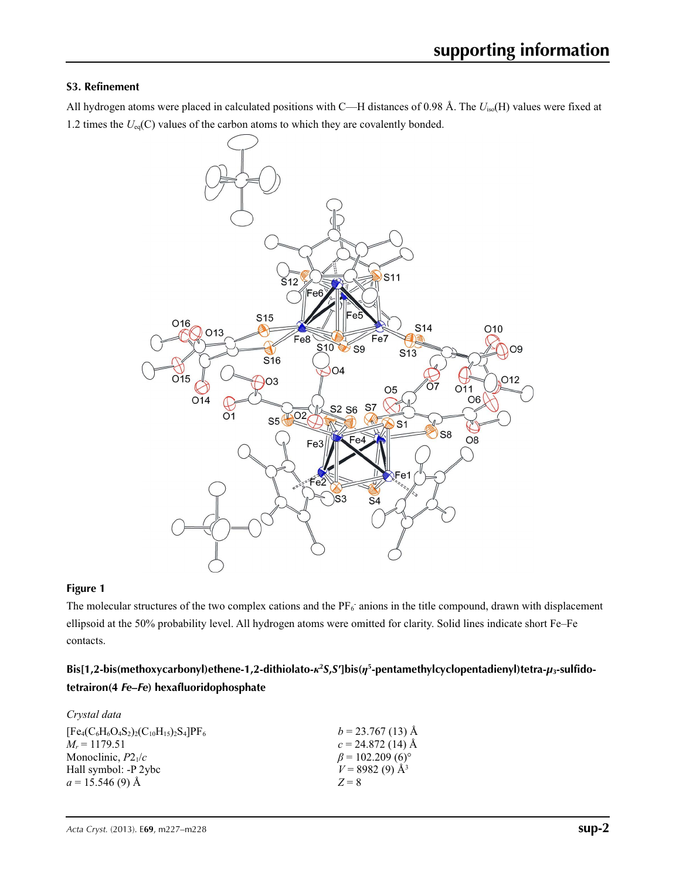### **S3. Refinement**

All hydrogen atoms were placed in calculated positions with C—H distances of 0.98 Å. The *U*iso(H) values were fixed at 1.2 times the  $U_{eq}(C)$  values of the carbon atoms to which they are covalently bonded.



### **Figure 1**

The molecular structures of the two complex cations and the  $PF_6$  anions in the title compound, drawn with displacement ellipsoid at the 50% probability level. All hydrogen atoms were omitted for clarity. Solid lines indicate short Fe–Fe contacts.

## **Bis[1,2-bis(methoxycarbonyl)ethene-1,2-dithiolato-***κ***<sup>2</sup>** *S***,***S***′]bis(***η***<sup>5</sup> -pentamethylcyclopentadienyl)tetra-***µ***3-sulfidotetrairon(4** *Fe***–***Fe***) hexafluoridophosphate**

| Crystal data                                    |                                    |
|-------------------------------------------------|------------------------------------|
| $[Fe_4(C_6H_6O_4S_2)_2(C_{10}H_{15})_2S_4]PF_6$ | $b = 23.767(13)$ Å                 |
| $M_r = 1179.51$                                 | $c = 24.872(14)$ Å                 |
| Monoclinic, $P2_1/c$                            | $\beta$ = 102.209 (6) <sup>o</sup> |
| Hall symbol: -P 2ybc                            | $V = 8982(9)$ Å <sup>3</sup>       |
| $a = 15.546(9)$ Å                               | $Z = 8$                            |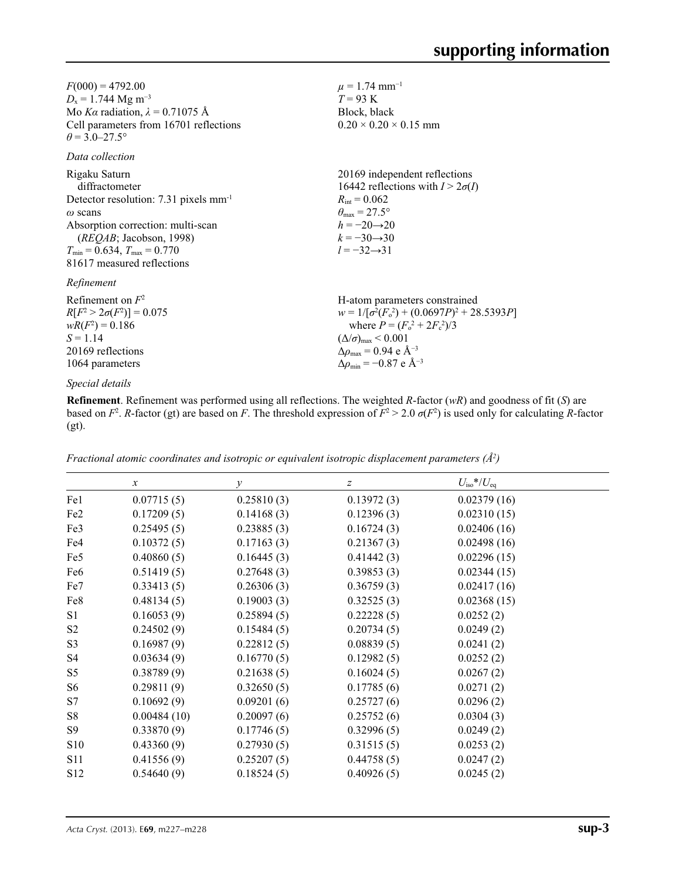$F(000) = 4792.00$  $D_x = 1.744 \text{ Mg m}^{-3}$ Mo *Kα* radiation, *λ* = 0.71075 Å Cell parameters from 16701 reflections  $\theta = 3.0 - 27.5^{\circ}$ 

### *Data collection*

| Rigaku Saturn                                                         | 20169 independent reflections                      |
|-----------------------------------------------------------------------|----------------------------------------------------|
| diffractometer                                                        | 16442 reflections with $I > 2\sigma(I)$            |
| Detector resolution: 7.31 pixels $mm-1$                               | $R_{\rm int} = 0.062$                              |
| $\omega$ scans                                                        | $\theta_{\rm max} = 27.5^{\circ}$                  |
| Absorption correction: multi-scan                                     | $h = -20 \rightarrow 20$                           |
| (REQAB; Jacobson, 1998)                                               | $k = -30 \rightarrow 30$                           |
| $T_{\min} = 0.634$ , $T_{\max} = 0.770$<br>81617 measured reflections | $l = -32 \rightarrow 31$                           |
| Refinement                                                            |                                                    |
| Refinement on $F^2$                                                   | H-atom parameters constrained                      |
| $R[F^2 > 2\sigma(F^2)] = 0.075$                                       | $w = 1/[\sigma^2(F_0^2) + (0.0697P)^2 + 28.5393P]$ |
| $wR(F^2) = 0.186$                                                     | where $P = (F_o^2 + 2F_c^2)/3$                     |
| $S = 1.14$                                                            | $(\Delta/\sigma)_{\text{max}}$ < 0.001             |

## 1064 parameters *Special details*

20169 reflections

**Refinement**. Refinement was performed using all reflections. The weighted *R*-factor (*wR*) and goodness of fit (*S*) are based on  $F^2$ . *R*-factor (gt) are based on *F*. The threshold expression of  $F^2 > 2.0$   $\sigma(F^2)$  is used only for calculating *R*-factor (gt).

Δ*ρ*max = 0.94 e Å−3 Δ*ρ*min = −0.87 e Å−3

 $\mu = 1.74$  mm<sup>-1</sup>  $T = 93$  K Block, black

 $0.20 \times 0.20 \times 0.15$  mm

*Fractional atomic coordinates and isotropic or equivalent isotropic displacement parameters (Å2 )*

|                 | $\mathcal{X}$ | $\mathcal{Y}$ | z          | $U_{\rm iso}$ */ $U_{\rm eq}$ |  |
|-----------------|---------------|---------------|------------|-------------------------------|--|
| Fe1             | 0.07715(5)    | 0.25810(3)    | 0.13972(3) | 0.02379(16)                   |  |
| Fe <sub>2</sub> | 0.17209(5)    | 0.14168(3)    | 0.12396(3) | 0.02310(15)                   |  |
| Fe3             | 0.25495(5)    | 0.23885(3)    | 0.16724(3) | 0.02406(16)                   |  |
| Fe4             | 0.10372(5)    | 0.17163(3)    | 0.21367(3) | 0.02498(16)                   |  |
| Fe <sub>5</sub> | 0.40860(5)    | 0.16445(3)    | 0.41442(3) | 0.02296(15)                   |  |
| Fe <sub>6</sub> | 0.51419(5)    | 0.27648(3)    | 0.39853(3) | 0.02344(15)                   |  |
| Fe7             | 0.33413(5)    | 0.26306(3)    | 0.36759(3) | 0.02417(16)                   |  |
| Fe8             | 0.48134(5)    | 0.19003(3)    | 0.32525(3) | 0.02368(15)                   |  |
| S1              | 0.16053(9)    | 0.25894(5)    | 0.22228(5) | 0.0252(2)                     |  |
| S <sub>2</sub>  | 0.24502(9)    | 0.15484(5)    | 0.20734(5) | 0.0249(2)                     |  |
| S <sub>3</sub>  | 0.16987(9)    | 0.22812(5)    | 0.08839(5) | 0.0241(2)                     |  |
| S4              | 0.03634(9)    | 0.16770(5)    | 0.12982(5) | 0.0252(2)                     |  |
| S <sub>5</sub>  | 0.38789(9)    | 0.21638(5)    | 0.16024(5) | 0.0267(2)                     |  |
| S <sub>6</sub>  | 0.29811(9)    | 0.32650(5)    | 0.17785(6) | 0.0271(2)                     |  |
| S7              | 0.10692(9)    | 0.09201(6)    | 0.25727(6) | 0.0296(2)                     |  |
| S8              | 0.00484(10)   | 0.20097(6)    | 0.25752(6) | 0.0304(3)                     |  |
| S9              | 0.33870(9)    | 0.17746(5)    | 0.32996(5) | 0.0249(2)                     |  |
| S <sub>10</sub> | 0.43360(9)    | 0.27930(5)    | 0.31515(5) | 0.0253(2)                     |  |
| <b>S11</b>      | 0.41556(9)    | 0.25207(5)    | 0.44758(5) | 0.0247(2)                     |  |
| S <sub>12</sub> | 0.54640(9)    | 0.18524(5)    | 0.40926(5) | 0.0245(2)                     |  |
|                 |               |               |            |                               |  |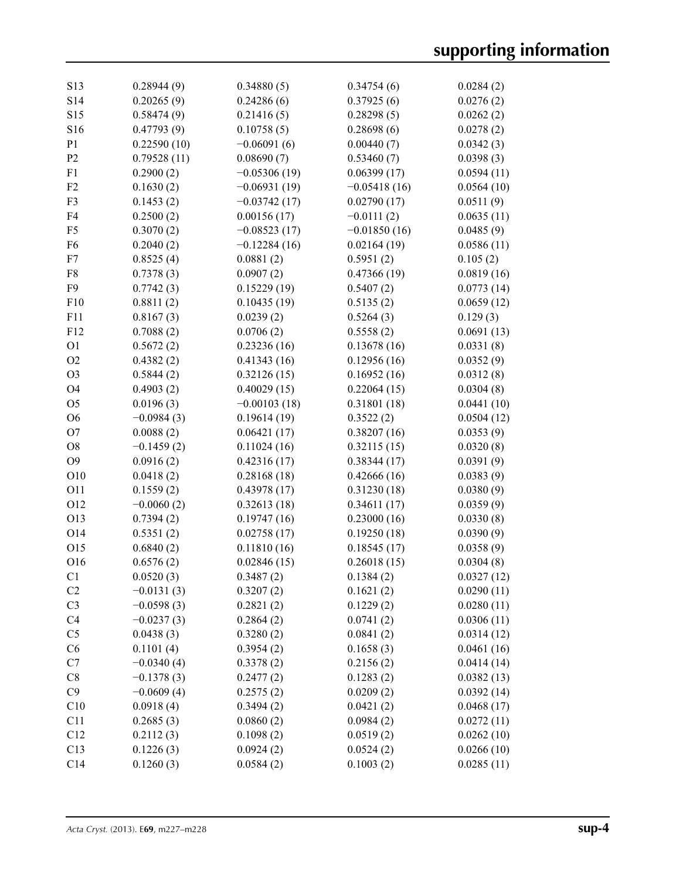| S13             | 0.28944(9)   | 0.34880(5)     | 0.34754(6)     | 0.0284(2)  |
|-----------------|--------------|----------------|----------------|------------|
| S14             | 0.20265(9)   | 0.24286(6)     | 0.37925(6)     | 0.0276(2)  |
| S <sub>15</sub> | 0.58474(9)   | 0.21416(5)     | 0.28298(5)     | 0.0262(2)  |
| S16             | 0.47793(9)   | 0.10758(5)     | 0.28698(6)     | 0.0278(2)  |
| P <sub>1</sub>  | 0.22590(10)  | $-0.06091(6)$  | 0.00440(7)     | 0.0342(3)  |
| P <sub>2</sub>  | 0.79528(11)  | 0.08690(7)     | 0.53460(7)     | 0.0398(3)  |
| F1              | 0.2900(2)    | $-0.05306(19)$ | 0.06399(17)    | 0.0594(11) |
| F <sub>2</sub>  | 0.1630(2)    | $-0.06931(19)$ | $-0.05418(16)$ | 0.0564(10) |
| F <sub>3</sub>  | 0.1453(2)    | $-0.03742(17)$ | 0.02790(17)    | 0.0511(9)  |
| F4              | 0.2500(2)    | 0.00156(17)    | $-0.0111(2)$   | 0.0635(11) |
| F <sub>5</sub>  | 0.3070(2)    | $-0.08523(17)$ | $-0.01850(16)$ | 0.0485(9)  |
| F <sub>6</sub>  | 0.2040(2)    | $-0.12284(16)$ | 0.02164(19)    | 0.0586(11) |
| F7              | 0.8525(4)    |                |                | 0.105(2)   |
| F8              | 0.7378(3)    | 0.0881(2)      | 0.5951(2)      |            |
|                 |              | 0.0907(2)      | 0.47366(19)    | 0.0819(16) |
| F <sub>9</sub>  | 0.7742(3)    | 0.15229(19)    | 0.5407(2)      | 0.0773(14) |
| F10             | 0.8811(2)    | 0.10435(19)    | 0.5135(2)      | 0.0659(12) |
| F11             | 0.8167(3)    | 0.0239(2)      | 0.5264(3)      | 0.129(3)   |
| F12             | 0.7088(2)    | 0.0706(2)      | 0.5558(2)      | 0.0691(13) |
| O <sub>1</sub>  | 0.5672(2)    | 0.23236(16)    | 0.13678(16)    | 0.0331(8)  |
| O2              | 0.4382(2)    | 0.41343(16)    | 0.12956(16)    | 0.0352(9)  |
| O <sub>3</sub>  | 0.5844(2)    | 0.32126(15)    | 0.16952(16)    | 0.0312(8)  |
| O <sub>4</sub>  | 0.4903(2)    | 0.40029(15)    | 0.22064(15)    | 0.0304(8)  |
| O <sub>5</sub>  | 0.0196(3)    | $-0.00103(18)$ | 0.31801(18)    | 0.0441(10) |
| O <sub>6</sub>  | $-0.0984(3)$ | 0.19614(19)    | 0.3522(2)      | 0.0504(12) |
| O <sub>7</sub>  | 0.0088(2)    | 0.06421(17)    | 0.38207(16)    | 0.0353(9)  |
| O <sub>8</sub>  | $-0.1459(2)$ | 0.11024(16)    | 0.32115(15)    | 0.0320(8)  |
| O <sub>9</sub>  | 0.0916(2)    | 0.42316(17)    | 0.38344(17)    | 0.0391(9)  |
| O10             | 0.0418(2)    | 0.28168(18)    | 0.42666(16)    | 0.0383(9)  |
| O11             | 0.1559(2)    | 0.43978(17)    | 0.31230(18)    | 0.0380(9)  |
| O12             | $-0.0060(2)$ | 0.32613(18)    | 0.34611(17)    | 0.0359(9)  |
| O13             | 0.7394(2)    | 0.19747(16)    | 0.23000(16)    | 0.0330(8)  |
| O14             | 0.5351(2)    | 0.02758(17)    | 0.19250(18)    | 0.0390(9)  |
| O15             | 0.6840(2)    | 0.11810(16)    | 0.18545(17)    | 0.0358(9)  |
| O16             | 0.6576(2)    | 0.02846(15)    | 0.26018(15)    | 0.0304(8)  |
| C <sub>1</sub>  | 0.0520(3)    | 0.3487(2)      | 0.1384(2)      | 0.0327(12) |
| C2              | $-0.0131(3)$ | 0.3207(2)      | 0.1621(2)      | 0.0290(11) |
| C <sub>3</sub>  | $-0.0598(3)$ | 0.2821(2)      | 0.1229(2)      | 0.0280(11) |
| C <sub>4</sub>  | $-0.0237(3)$ | 0.2864(2)      | 0.0741(2)      | 0.0306(11) |
| C <sub>5</sub>  | 0.0438(3)    | 0.3280(2)      | 0.0841(2)      | 0.0314(12) |
| C6              | 0.1101(4)    | 0.3954(2)      | 0.1658(3)      | 0.0461(16) |
| C7              | $-0.0340(4)$ | 0.3378(2)      | 0.2156(2)      | 0.0414(14) |
| C8              | $-0.1378(3)$ | 0.2477(2)      | 0.1283(2)      | 0.0382(13) |
| C9              | $-0.0609(4)$ | 0.2575(2)      | 0.0209(2)      |            |
|                 |              |                |                | 0.0392(14) |
| C10             | 0.0918(4)    | 0.3494(2)      | 0.0421(2)      | 0.0468(17) |
| C11             | 0.2685(3)    | 0.0860(2)      | 0.0984(2)      | 0.0272(11) |
| C12             | 0.2112(3)    | 0.1098(2)      | 0.0519(2)      | 0.0262(10) |
| C13             | 0.1226(3)    | 0.0924(2)      | 0.0524(2)      | 0.0266(10) |
| C14             | 0.1260(3)    | 0.0584(2)      | 0.1003(2)      | 0.0285(11) |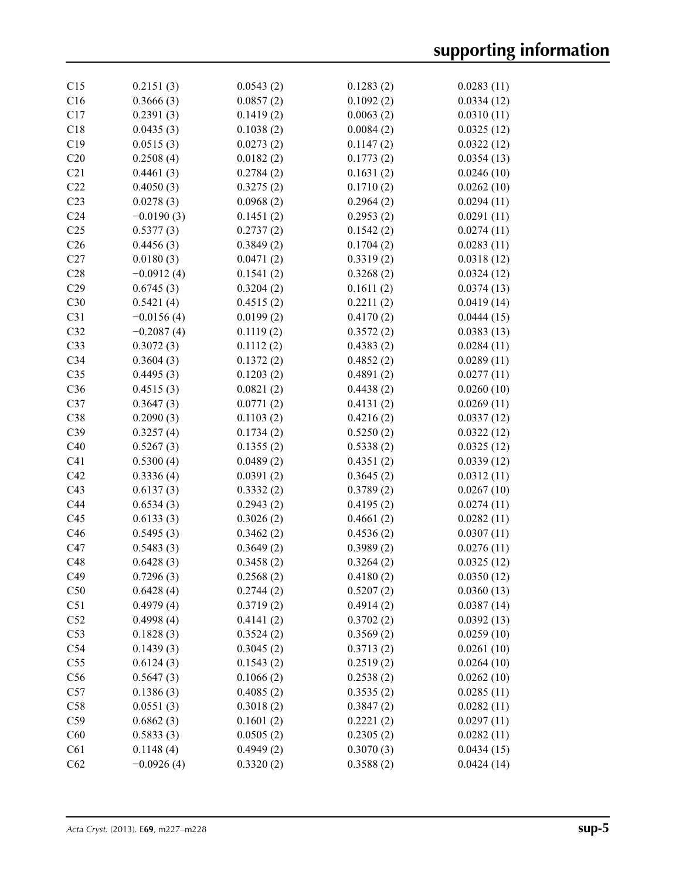| C15             | 0.2151(3)              | 0.0543(2) | 0.1283(2) | 0.0283(11) |
|-----------------|------------------------|-----------|-----------|------------|
| C16             | 0.3666(3)              | 0.0857(2) | 0.1092(2) | 0.0334(12) |
| C17             | 0.2391(3)              | 0.1419(2) | 0.0063(2) | 0.0310(11) |
| C18             | 0.0435(3)              | 0.1038(2) | 0.0084(2) | 0.0325(12) |
| C19             | 0.0515(3)              | 0.0273(2) | 0.1147(2) | 0.0322(12) |
| C20             | 0.2508(4)              | 0.0182(2) | 0.1773(2) | 0.0354(13) |
| C21             | 0.4461(3)              | 0.2784(2) | 0.1631(2) | 0.0246(10) |
| C22             | 0.4050(3)              | 0.3275(2) | 0.1710(2) | 0.0262(10) |
| C <sub>23</sub> | 0.0278(3)              | 0.0968(2) | 0.2964(2) | 0.0294(11) |
| C <sub>24</sub> | $-0.0190(3)$           | 0.1451(2) | 0.2953(2) | 0.0291(11) |
| C <sub>25</sub> | 0.5377(3)              | 0.2737(2) | 0.1542(2) | 0.0274(11) |
|                 |                        |           |           |            |
| C <sub>26</sub> | 0.4456(3)              | 0.3849(2) | 0.1704(2) | 0.0283(11) |
| C27             | 0.0180(3)              | 0.0471(2) | 0.3319(2) | 0.0318(12) |
| C28             | $-0.0912(4)$           | 0.1541(2) | 0.3268(2) | 0.0324(12) |
| C29             | 0.6745(3)              | 0.3204(2) | 0.1611(2) | 0.0374(13) |
| C30             | 0.5421(4)              | 0.4515(2) | 0.2211(2) | 0.0419(14) |
| C31             | $-0.0156(4)$           | 0.0199(2) | 0.4170(2) | 0.0444(15) |
| C32             | $-0.2087(4)$           | 0.1119(2) | 0.3572(2) | 0.0383(13) |
| C33             | 0.3072(3)              | 0.1112(2) | 0.4383(2) | 0.0284(11) |
| C <sub>34</sub> | 0.3604(3)              | 0.1372(2) | 0.4852(2) | 0.0289(11) |
| C <sub>35</sub> | 0.4495(3)              | 0.1203(2) | 0.4891(2) | 0.0277(11) |
| C36             | 0.4515(3)              | 0.0821(2) | 0.4438(2) | 0.0260(10) |
| C37             | 0.3647(3)              | 0.0771(2) | 0.4131(2) | 0.0269(11) |
| C38             | 0.2090(3)              | 0.1103(2) | 0.4216(2) | 0.0337(12) |
| C39             | 0.3257(4)              | 0.1734(2) | 0.5250(2) | 0.0322(12) |
| C40             | 0.5267(3)              | 0.1355(2) | 0.5338(2) | 0.0325(12) |
| C <sub>41</sub> | 0.5300(4)              | 0.0489(2) | 0.4351(2) | 0.0339(12) |
| C42             | 0.3336(4)              | 0.0391(2) | 0.3645(2) | 0.0312(11) |
| C43             | 0.6137(3)              | 0.3332(2) | 0.3789(2) | 0.0267(10) |
| C44             | 0.6534(3)              | 0.2943(2) | 0.4195(2) | 0.0274(11) |
| C45             | 0.6133(3)              | 0.3026(2) | 0.4661(2) | 0.0282(11) |
| C46             | 0.5495(3)              | 0.3462(2) | 0.4536(2) | 0.0307(11) |
| C47             | 0.5483(3)              | 0.3649(2) | 0.3989(2) | 0.0276(11) |
| C48             | 0.6428(3)              | 0.3458(2) | 0.3264(2) | 0.0325(12) |
| C49             | 0.7296(3)              | 0.2568(2) | 0.4180(2) | 0.0350(12) |
| C50             | 0.6428(4)              | 0.2744(2) | 0.5207(2) | 0.0360(13) |
| C <sub>51</sub> | 0.4979(4)              | 0.3719(2) | 0.4914(2) | 0.0387(14) |
| C52             | 0.4998(4)              | 0.4141(2) | 0.3702(2) | 0.0392(13) |
| C53             | 0.1828(3)              | 0.3524(2) | 0.3569(2) | 0.0259(10) |
| C54             | 0.1439(3)              | 0.3045(2) | 0.3713(2) | 0.0261(10) |
| C <sub>55</sub> | 0.6124(3)              | 0.1543(2) | 0.2519(2) | 0.0264(10) |
| C56             | 0.5647(3)              | 0.1066(2) | 0.2538(2) | 0.0262(10) |
| C57             | 0.1386(3)              | 0.4085(2) | 0.3535(2) | 0.0285(11) |
| C58             | 0.0551(3)              | 0.3018(2) | 0.3847(2) | 0.0282(11) |
| C59             | 0.6862(3)              | 0.1601(2) | 0.2221(2) | 0.0297(11) |
|                 |                        |           |           |            |
| C60<br>C61      | 0.5833(3)<br>0.1148(4) | 0.0505(2) | 0.2305(2) | 0.0282(11) |
|                 |                        | 0.4949(2) | 0.3070(3) | 0.0434(15) |
| C62             | $-0.0926(4)$           | 0.3320(2) | 0.3588(2) | 0.0424(14) |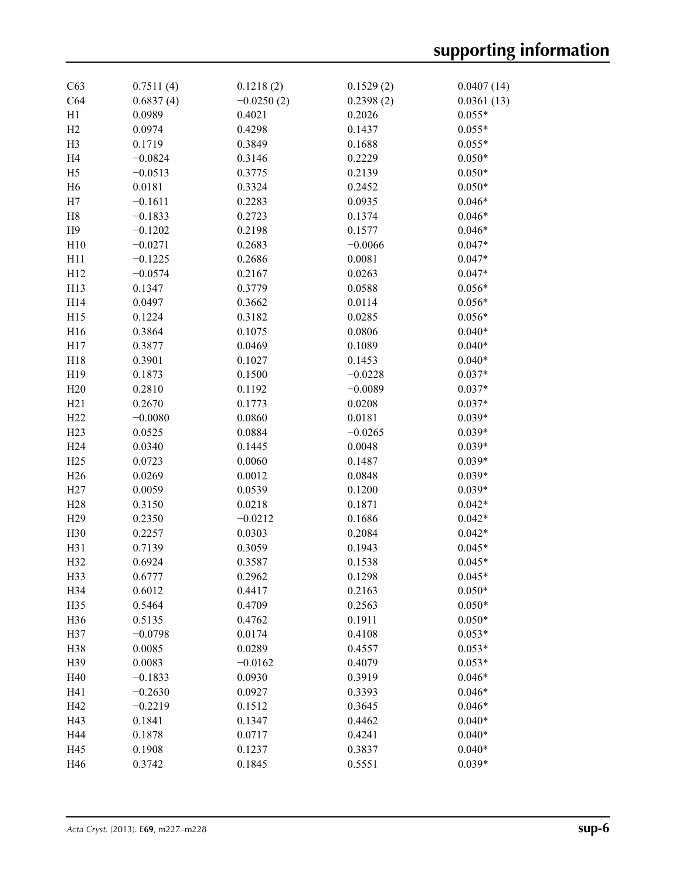| C63             | 0.7511(4) | 0.1218(2)    | 0.1529(2) | 0.0407(14) |
|-----------------|-----------|--------------|-----------|------------|
| C64             | 0.6837(4) | $-0.0250(2)$ | 0.2398(2) | 0.0361(13) |
| H1              | 0.0989    | 0.4021       | 0.2026    | $0.055*$   |
| H2              | 0.0974    | 0.4298       | 0.1437    | $0.055*$   |
| H <sub>3</sub>  | 0.1719    | 0.3849       | 0.1688    | $0.055*$   |
| H <sub>4</sub>  | $-0.0824$ | 0.3146       | 0.2229    | $0.050*$   |
| H <sub>5</sub>  | $-0.0513$ | 0.3775       | 0.2139    | $0.050*$   |
| H <sub>6</sub>  | 0.0181    | 0.3324       | 0.2452    | $0.050*$   |
| H7              | $-0.1611$ | 0.2283       | 0.0935    | $0.046*$   |
| H8              | $-0.1833$ | 0.2723       | 0.1374    | $0.046*$   |
| H9              | $-0.1202$ | 0.2198       | 0.1577    | $0.046*$   |
| H10             | $-0.0271$ | 0.2683       | $-0.0066$ | $0.047*$   |
| H11             | $-0.1225$ | 0.2686       | 0.0081    | $0.047*$   |
| H12             | $-0.0574$ | 0.2167       | 0.0263    | $0.047*$   |
| H13             | 0.1347    | 0.3779       | 0.0588    | $0.056*$   |
| H14             | 0.0497    | 0.3662       | 0.0114    | $0.056*$   |
| H15             | 0.1224    | 0.3182       | 0.0285    | $0.056*$   |
| H16             | 0.3864    | 0.1075       | 0.0806    | $0.040*$   |
| H17             | 0.3877    | 0.0469       | 0.1089    | $0.040*$   |
| H18             | 0.3901    | 0.1027       | 0.1453    | $0.040*$   |
| H19             | 0.1873    | 0.1500       | $-0.0228$ | $0.037*$   |
| H20             | 0.2810    | 0.1192       | $-0.0089$ | $0.037*$   |
| H21             | 0.2670    | 0.1773       | 0.0208    | $0.037*$   |
| H22             |           | 0.0860       | 0.0181    | $0.039*$   |
|                 | $-0.0080$ |              |           |            |
| H23             | 0.0525    | 0.0884       | $-0.0265$ | $0.039*$   |
| H <sub>24</sub> | 0.0340    | 0.1445       | 0.0048    | $0.039*$   |
| H25             | 0.0723    | 0.0060       | 0.1487    | $0.039*$   |
| H <sub>26</sub> | 0.0269    | 0.0012       | 0.0848    | $0.039*$   |
| H27             | 0.0059    | 0.0539       | 0.1200    | $0.039*$   |
| H <sub>28</sub> | 0.3150    | 0.0218       | 0.1871    | $0.042*$   |
| H <sub>29</sub> | 0.2350    | $-0.0212$    | 0.1686    | $0.042*$   |
| H30             | 0.2257    | 0.0303       | 0.2084    | $0.042*$   |
| H31             | 0.7139    | 0.3059       | 0.1943    | $0.045*$   |
| H32             | 0.6924    | 0.3587       | 0.1538    | $0.045*$   |
| H33             | 0.6777    | 0.2962       | 0.1298    | $0.045*$   |
| H34             | 0.6012    | 0.4417       | 0.2163    | $0.050*$   |
| H35             | 0.5464    | 0.4709       | 0.2563    | $0.050*$   |
| H36             | 0.5135    | 0.4762       | 0.1911    | $0.050*$   |
| H37             | $-0.0798$ | 0.0174       | 0.4108    | $0.053*$   |
| H38             | 0.0085    | 0.0289       | 0.4557    | $0.053*$   |
| H39             | 0.0083    | $-0.0162$    | 0.4079    | $0.053*$   |
| H40             | $-0.1833$ | 0.0930       | 0.3919    | $0.046*$   |
| H41             | $-0.2630$ | 0.0927       | 0.3393    | $0.046*$   |
| H42             | $-0.2219$ | 0.1512       | 0.3645    | $0.046*$   |
| H43             | 0.1841    | 0.1347       | 0.4462    | $0.040*$   |
| H44             | 0.1878    | 0.0717       | 0.4241    | $0.040*$   |
| H45             | 0.1908    | 0.1237       | 0.3837    | $0.040*$   |
| H46             | 0.3742    | 0.1845       | 0.5551    | $0.039*$   |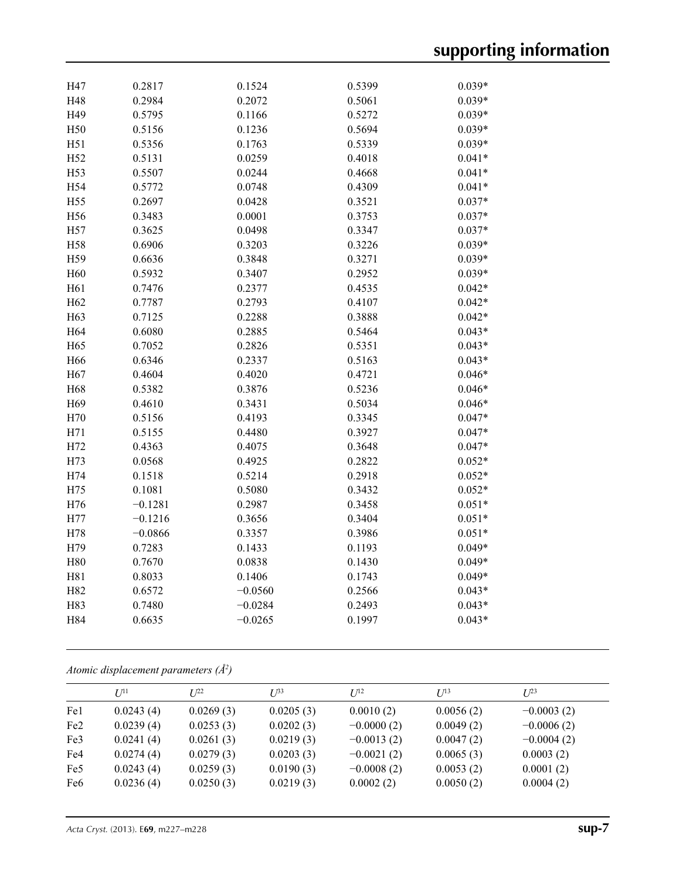| H47             | 0.2817    | 0.1524    | 0.5399 | $0.039*$ |
|-----------------|-----------|-----------|--------|----------|
| H48             | 0.2984    | 0.2072    | 0.5061 | $0.039*$ |
| H49             | 0.5795    | 0.1166    | 0.5272 | $0.039*$ |
| H50             | 0.5156    | 0.1236    | 0.5694 | $0.039*$ |
| H51             | 0.5356    | 0.1763    | 0.5339 | $0.039*$ |
| H52             | 0.5131    | 0.0259    | 0.4018 | $0.041*$ |
| H53             | 0.5507    | 0.0244    | 0.4668 | $0.041*$ |
| H54             | 0.5772    | 0.0748    | 0.4309 | $0.041*$ |
| H55             | 0.2697    | 0.0428    | 0.3521 | $0.037*$ |
| H56             | 0.3483    | 0.0001    | 0.3753 | $0.037*$ |
| H57             | 0.3625    | 0.0498    | 0.3347 | $0.037*$ |
| H58             | 0.6906    | 0.3203    | 0.3226 | $0.039*$ |
| H59             | 0.6636    | 0.3848    | 0.3271 | $0.039*$ |
| H <sub>60</sub> | 0.5932    | 0.3407    | 0.2952 | $0.039*$ |
| H61             | 0.7476    | 0.2377    | 0.4535 | $0.042*$ |
| H <sub>62</sub> | 0.7787    | 0.2793    | 0.4107 | $0.042*$ |
| H63             | 0.7125    | 0.2288    | 0.3888 | $0.042*$ |
| H64             | 0.6080    | 0.2885    | 0.5464 | $0.043*$ |
| H65             | 0.7052    | 0.2826    | 0.5351 | $0.043*$ |
| H66             | 0.6346    | 0.2337    | 0.5163 | $0.043*$ |
| H67             | 0.4604    | 0.4020    | 0.4721 | $0.046*$ |
| H68             | 0.5382    | 0.3876    | 0.5236 | $0.046*$ |
| H69             | 0.4610    | 0.3431    | 0.5034 | $0.046*$ |
| H70             | 0.5156    | 0.4193    | 0.3345 | $0.047*$ |
| H71             | 0.5155    | 0.4480    | 0.3927 | $0.047*$ |
| H72             | 0.4363    | 0.4075    | 0.3648 | $0.047*$ |
| H73             | 0.0568    | 0.4925    | 0.2822 | $0.052*$ |
| H74             | 0.1518    | 0.5214    | 0.2918 | $0.052*$ |
| H75             | 0.1081    | 0.5080    | 0.3432 | $0.052*$ |
| H76             | $-0.1281$ | 0.2987    | 0.3458 | $0.051*$ |
| H77             | $-0.1216$ | 0.3656    | 0.3404 | $0.051*$ |
| H78             | $-0.0866$ | 0.3357    | 0.3986 | $0.051*$ |
| H79             | 0.7283    | 0.1433    | 0.1193 | $0.049*$ |
| H80             | 0.7670    | 0.0838    | 0.1430 | $0.049*$ |
| H81             | 0.8033    | 0.1406    | 0.1743 | $0.049*$ |
| H82             | 0.6572    | $-0.0560$ | 0.2566 | $0.043*$ |
| H83             | 0.7480    | $-0.0284$ | 0.2493 | $0.043*$ |
| H84             | 0.6635    | $-0.0265$ | 0.1997 | $0.043*$ |
|                 |           |           |        |          |

*Atomic displacement parameters (Å2 )*

|                 | I/I <sup>11</sup> | $I^{22}$  | $I^{\beta 3}$ | $I^{12}$     | $I^{13}$  | I/23         |
|-----------------|-------------------|-----------|---------------|--------------|-----------|--------------|
| Fe1             | 0.0243(4)         | 0.0269(3) | 0.0205(3)     | 0.0010(2)    | 0.0056(2) | $-0.0003(2)$ |
| Fe <sub>2</sub> | 0.0239(4)         | 0.0253(3) | 0.0202(3)     | $-0.0000(2)$ | 0.0049(2) | $-0.0006(2)$ |
| Fe <sub>3</sub> | 0.0241(4)         | 0.0261(3) | 0.0219(3)     | $-0.0013(2)$ | 0.0047(2) | $-0.0004(2)$ |
| Fe4             | 0.0274(4)         | 0.0279(3) | 0.0203(3)     | $-0.0021(2)$ | 0.0065(3) | 0.0003(2)    |
| Fe <sub>5</sub> | 0.0243(4)         | 0.0259(3) | 0.0190(3)     | $-0.0008(2)$ | 0.0053(2) | 0.0001(2)    |
| Fe <sub>6</sub> | 0.0236(4)         | 0.0250(3) | 0.0219(3)     | 0.0002(2)    | 0.0050(2) | 0.0004(2)    |
|                 |                   |           |               |              |           |              |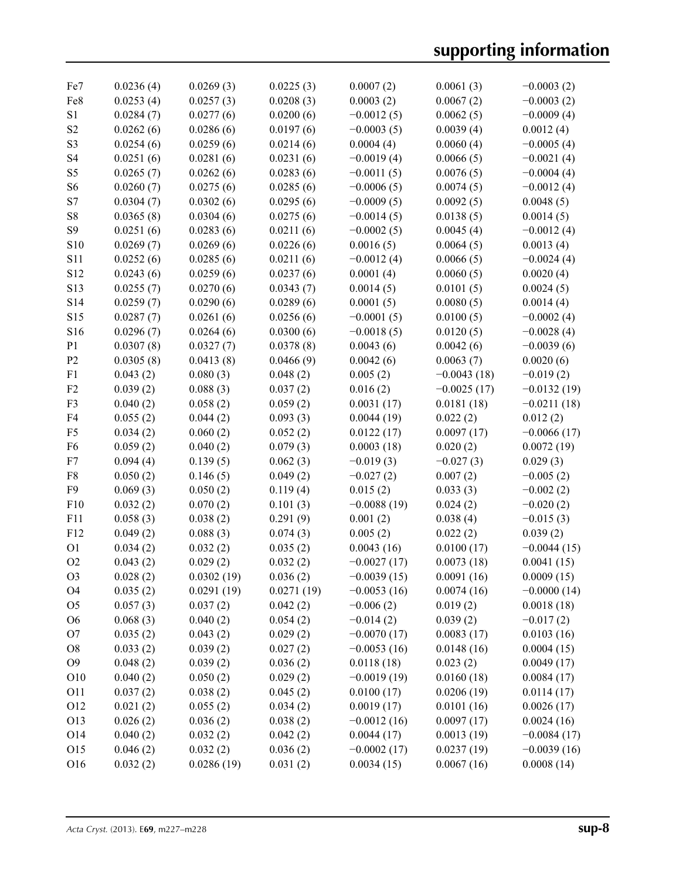| Fe7             | 0.0236(4) | 0.0269(3)  | 0.0225(3)  | 0.0007(2)     | 0.0061(3)     | $-0.0003(2)$  |
|-----------------|-----------|------------|------------|---------------|---------------|---------------|
| Fe8             | 0.0253(4) | 0.0257(3)  | 0.0208(3)  | 0.0003(2)     | 0.0067(2)     | $-0.0003(2)$  |
| S1              | 0.0284(7) | 0.0277(6)  | 0.0200(6)  | $-0.0012(5)$  | 0.0062(5)     | $-0.0009(4)$  |
| S <sub>2</sub>  | 0.0262(6) | 0.0286(6)  | 0.0197(6)  | $-0.0003(5)$  | 0.0039(4)     | 0.0012(4)     |
| S <sub>3</sub>  | 0.0254(6) | 0.0259(6)  | 0.0214(6)  | 0.0004(4)     | 0.0060(4)     | $-0.0005(4)$  |
| S <sub>4</sub>  | 0.0251(6) | 0.0281(6)  | 0.0231(6)  | $-0.0019(4)$  | 0.0066(5)     | $-0.0021(4)$  |
| S5              | 0.0265(7) | 0.0262(6)  | 0.0283(6)  | $-0.0011(5)$  | 0.0076(5)     | $-0.0004(4)$  |
| S <sub>6</sub>  | 0.0260(7) | 0.0275(6)  | 0.0285(6)  | $-0.0006(5)$  | 0.0074(5)     | $-0.0012(4)$  |
| S7              | 0.0304(7) | 0.0302(6)  | 0.0295(6)  | $-0.0009(5)$  | 0.0092(5)     | 0.0048(5)     |
| ${\bf S8}$      | 0.0365(8) | 0.0304(6)  | 0.0275(6)  | $-0.0014(5)$  | 0.0138(5)     | 0.0014(5)     |
| S <sub>9</sub>  | 0.0251(6) | 0.0283(6)  | 0.0211(6)  | $-0.0002(5)$  | 0.0045(4)     | $-0.0012(4)$  |
| S10             | 0.0269(7) | 0.0269(6)  | 0.0226(6)  | 0.0016(5)     | 0.0064(5)     | 0.0013(4)     |
| <b>S11</b>      | 0.0252(6) | 0.0285(6)  | 0.0211(6)  | $-0.0012(4)$  | 0.0066(5)     | $-0.0024(4)$  |
| S <sub>12</sub> | 0.0243(6) | 0.0259(6)  | 0.0237(6)  | 0.0001(4)     | 0.0060(5)     | 0.0020(4)     |
| S13             | 0.0255(7) | 0.0270(6)  | 0.0343(7)  | 0.0014(5)     | 0.0101(5)     | 0.0024(5)     |
| S14             | 0.0259(7) | 0.0290(6)  | 0.0289(6)  | 0.0001(5)     | 0.0080(5)     | 0.0014(4)     |
| S15             | 0.0287(7) | 0.0261(6)  | 0.0256(6)  | $-0.0001(5)$  | 0.0100(5)     | $-0.0002(4)$  |
| S16             | 0.0296(7) | 0.0264(6)  | 0.0300(6)  | $-0.0018(5)$  | 0.0120(5)     | $-0.0028(4)$  |
| P <sub>1</sub>  | 0.0307(8) | 0.0327(7)  | 0.0378(8)  | 0.0043(6)     | 0.0042(6)     | $-0.0039(6)$  |
| P <sub>2</sub>  | 0.0305(8) | 0.0413(8)  | 0.0466(9)  | 0.0042(6)     | 0.0063(7)     | 0.0020(6)     |
| F <sub>1</sub>  | 0.043(2)  | 0.080(3)   | 0.048(2)   | 0.005(2)      | $-0.0043(18)$ |               |
| F2              |           |            |            |               |               | $-0.019(2)$   |
|                 | 0.039(2)  | 0.088(3)   | 0.037(2)   | 0.016(2)      | $-0.0025(17)$ | $-0.0132(19)$ |
| F3              | 0.040(2)  | 0.058(2)   | 0.059(2)   | 0.0031(17)    | 0.0181(18)    | $-0.0211(18)$ |
| F4              | 0.055(2)  | 0.044(2)   | 0.093(3)   | 0.0044(19)    | 0.022(2)      | 0.012(2)      |
| F <sub>5</sub>  | 0.034(2)  | 0.060(2)   | 0.052(2)   | 0.0122(17)    | 0.0097(17)    | $-0.0066(17)$ |
| F <sub>6</sub>  | 0.059(2)  | 0.040(2)   | 0.079(3)   | 0.0003(18)    | 0.020(2)      | 0.0072(19)    |
| F7              | 0.094(4)  | 0.139(5)   | 0.062(3)   | $-0.019(3)$   | $-0.027(3)$   | 0.029(3)      |
| F8              | 0.050(2)  | 0.146(5)   | 0.049(2)   | $-0.027(2)$   | 0.007(2)      | $-0.005(2)$   |
| F9              | 0.069(3)  | 0.050(2)   | 0.119(4)   | 0.015(2)      | 0.033(3)      | $-0.002(2)$   |
| F10             | 0.032(2)  | 0.070(2)   | 0.101(3)   | $-0.0088(19)$ | 0.024(2)      | $-0.020(2)$   |
| F11             | 0.058(3)  | 0.038(2)   | 0.291(9)   | 0.001(2)      | 0.038(4)      | $-0.015(3)$   |
| F12             | 0.049(2)  | 0.088(3)   | 0.074(3)   | 0.005(2)      | 0.022(2)      | 0.039(2)      |
| <b>O1</b>       | 0.034(2)  | 0.032(2)   | 0.035(2)   | 0.0043(16)    | 0.0100(17)    | $-0.0044(15)$ |
| O2              | 0.043(2)  | 0.029(2)   | 0.032(2)   | $-0.0027(17)$ | 0.0073(18)    | 0.0041(15)    |
| O <sub>3</sub>  | 0.028(2)  | 0.0302(19) | 0.036(2)   | $-0.0039(15)$ | 0.0091(16)    | 0.0009(15)    |
| O <sub>4</sub>  | 0.035(2)  | 0.0291(19) | 0.0271(19) | $-0.0053(16)$ | 0.0074(16)    | $-0.0000(14)$ |
| O <sub>5</sub>  | 0.057(3)  | 0.037(2)   | 0.042(2)   | $-0.006(2)$   | 0.019(2)      | 0.0018(18)    |
| O <sub>6</sub>  | 0.068(3)  | 0.040(2)   | 0.054(2)   | $-0.014(2)$   | 0.039(2)      | $-0.017(2)$   |
| O <sub>7</sub>  | 0.035(2)  | 0.043(2)   | 0.029(2)   | $-0.0070(17)$ | 0.0083(17)    | 0.0103(16)    |
| O <sub>8</sub>  | 0.033(2)  | 0.039(2)   | 0.027(2)   | $-0.0053(16)$ | 0.0148(16)    | 0.0004(15)    |
| O <sub>9</sub>  | 0.048(2)  | 0.039(2)   | 0.036(2)   | 0.0118(18)    | 0.023(2)      | 0.0049(17)    |
| O10             | 0.040(2)  | 0.050(2)   | 0.029(2)   | $-0.0019(19)$ | 0.0160(18)    | 0.0084(17)    |
| O11             | 0.037(2)  | 0.038(2)   | 0.045(2)   | 0.0100(17)    | 0.0206(19)    | 0.0114(17)    |
| O12             | 0.021(2)  | 0.055(2)   | 0.034(2)   | 0.0019(17)    | 0.0101(16)    | 0.0026(17)    |
| O13             | 0.026(2)  | 0.036(2)   | 0.038(2)   | $-0.0012(16)$ | 0.0097(17)    | 0.0024(16)    |
| O14             | 0.040(2)  | 0.032(2)   | 0.042(2)   | 0.0044(17)    | 0.0013(19)    | $-0.0084(17)$ |
| O15             | 0.046(2)  | 0.032(2)   | 0.036(2)   | $-0.0002(17)$ | 0.0237(19)    | $-0.0039(16)$ |
| O16             | 0.032(2)  | 0.0286(19) | 0.031(2)   | 0.0034(15)    | 0.0067(16)    | 0.0008(14)    |
|                 |           |            |            |               |               |               |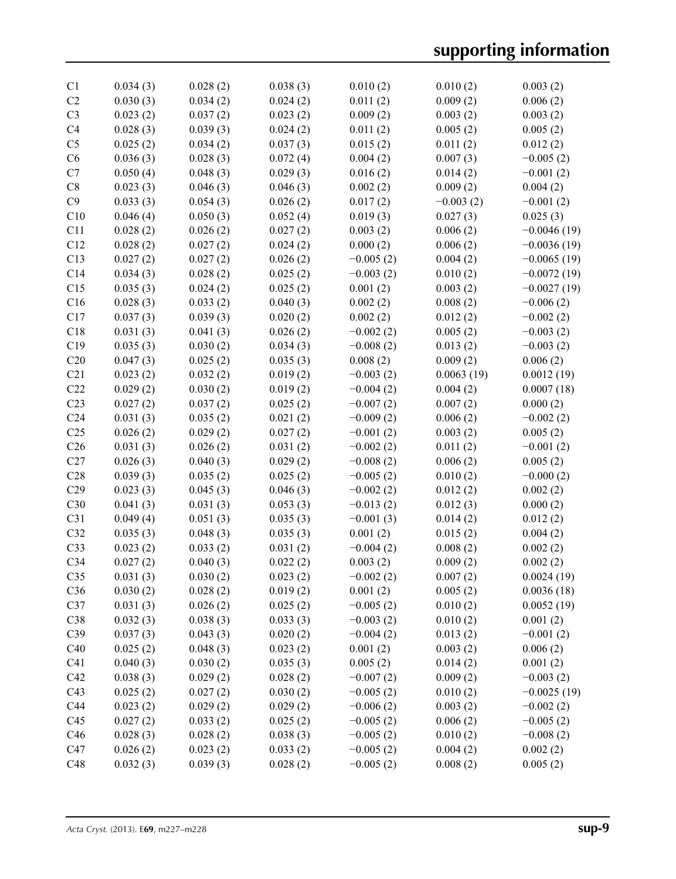| C <sub>1</sub>  | 0.034(3) | 0.028(2) | 0.038(3) | 0.010(2)    | 0.010(2)    | 0.003(2)      |
|-----------------|----------|----------|----------|-------------|-------------|---------------|
| C2              | 0.030(3) | 0.034(2) | 0.024(2) | 0.011(2)    | 0.009(2)    | 0.006(2)      |
| C <sub>3</sub>  | 0.023(2) | 0.037(2) | 0.023(2) | 0.009(2)    | 0.003(2)    | 0.003(2)      |
| C4              | 0.028(3) | 0.039(3) | 0.024(2) | 0.011(2)    | 0.005(2)    | 0.005(2)      |
| C <sub>5</sub>  | 0.025(2) | 0.034(2) | 0.037(3) | 0.015(2)    | 0.011(2)    | 0.012(2)      |
| C6              | 0.036(3) | 0.028(3) | 0.072(4) | 0.004(2)    | 0.007(3)    | $-0.005(2)$   |
| C7              | 0.050(4) | 0.048(3) | 0.029(3) | 0.016(2)    | 0.014(2)    | $-0.001(2)$   |
| C8              | 0.023(3) | 0.046(3) | 0.046(3) | 0.002(2)    | 0.009(2)    | 0.004(2)      |
| C9              | 0.033(3) | 0.054(3) | 0.026(2) | 0.017(2)    | $-0.003(2)$ | $-0.001(2)$   |
| C10             | 0.046(4) | 0.050(3) | 0.052(4) | 0.019(3)    | 0.027(3)    | 0.025(3)      |
| C11             | 0.028(2) | 0.026(2) | 0.027(2) | 0.003(2)    | 0.006(2)    | $-0.0046(19)$ |
| C12             | 0.028(2) | 0.027(2) | 0.024(2) | 0.000(2)    | 0.006(2)    | $-0.0036(19)$ |
| C13             | 0.027(2) | 0.027(2) | 0.026(2) | $-0.005(2)$ | 0.004(2)    | $-0.0065(19)$ |
| C14             | 0.034(3) | 0.028(2) | 0.025(2) | $-0.003(2)$ | 0.010(2)    | $-0.0072(19)$ |
| C15             | 0.035(3) | 0.024(2) | 0.025(2) | 0.001(2)    | 0.003(2)    | $-0.0027(19)$ |
| C16             | 0.028(3) | 0.033(2) | 0.040(3) | 0.002(2)    | 0.008(2)    | $-0.006(2)$   |
| C17             | 0.037(3) | 0.039(3) | 0.020(2) | 0.002(2)    | 0.012(2)    | $-0.002(2)$   |
| C18             | 0.031(3) | 0.041(3) | 0.026(2) | $-0.002(2)$ | 0.005(2)    | $-0.003(2)$   |
| C19             | 0.035(3) | 0.030(2) | 0.034(3) | $-0.008(2)$ | 0.013(2)    | $-0.003(2)$   |
| C20             | 0.047(3) | 0.025(2) | 0.035(3) | 0.008(2)    | 0.009(2)    | 0.006(2)      |
| C21             | 0.023(2) | 0.032(2) | 0.019(2) | $-0.003(2)$ | 0.0063(19)  | 0.0012(19)    |
| C22             | 0.029(2) | 0.030(2) | 0.019(2) | $-0.004(2)$ | 0.004(2)    | 0.0007(18)    |
| C <sub>23</sub> | 0.027(2) | 0.037(2) | 0.025(2) | $-0.007(2)$ | 0.007(2)    | 0.000(2)      |
| C <sub>24</sub> | 0.031(3) | 0.035(2) | 0.021(2) | $-0.009(2)$ | 0.006(2)    | $-0.002(2)$   |
| C <sub>25</sub> | 0.026(2) | 0.029(2) | 0.027(2) | $-0.001(2)$ | 0.003(2)    | 0.005(2)      |
| C <sub>26</sub> | 0.031(3) | 0.026(2) | 0.031(2) | $-0.002(2)$ | 0.011(2)    | $-0.001(2)$   |
| C27             | 0.026(3) | 0.040(3) | 0.029(2) | $-0.008(2)$ | 0.006(2)    | 0.005(2)      |
| C28             | 0.039(3) | 0.035(2) | 0.025(2) | $-0.005(2)$ | 0.010(2)    | $-0.000(2)$   |
| C29             | 0.023(3) | 0.045(3) | 0.046(3) | $-0.002(2)$ | 0.012(2)    | 0.002(2)      |
| C30             | 0.041(3) | 0.031(3) | 0.053(3) | $-0.013(2)$ | 0.012(3)    | 0.000(2)      |
| C31             | 0.049(4) | 0.051(3) | 0.035(3) | $-0.001(3)$ | 0.014(2)    | 0.012(2)      |
| C32             | 0.035(3) | 0.048(3) | 0.035(3) | 0.001(2)    | 0.015(2)    | 0.004(2)      |
| C33             | 0.023(2) | 0.033(2) | 0.031(2) | $-0.004(2)$ | 0.008(2)    | 0.002(2)      |
| C34             | 0.027(2) | 0.040(3) | 0.022(2) | 0.003(2)    | 0.009(2)    | 0.002(2)      |
| C <sub>35</sub> | 0.031(3) | 0.030(2) | 0.023(2) | $-0.002(2)$ | 0.007(2)    | 0.0024(19)    |
| C36             | 0.030(2) | 0.028(2) | 0.019(2) | 0.001(2)    | 0.005(2)    | 0.0036(18)    |
| C37             | 0.031(3) | 0.026(2) | 0.025(2) | $-0.005(2)$ | 0.010(2)    | 0.0052(19)    |
| C38             | 0.032(3) | 0.038(3) | 0.033(3) | $-0.003(2)$ | 0.010(2)    | 0.001(2)      |
| C39             | 0.037(3) | 0.043(3) | 0.020(2) | $-0.004(2)$ | 0.013(2)    | $-0.001(2)$   |
| C40             | 0.025(2) | 0.048(3) | 0.023(2) | 0.001(2)    | 0.003(2)    | 0.006(2)      |
| C41             | 0.040(3) | 0.030(2) | 0.035(3) | 0.005(2)    | 0.014(2)    | 0.001(2)      |
| C42             | 0.038(3) | 0.029(2) | 0.028(2) | $-0.007(2)$ | 0.009(2)    | $-0.003(2)$   |
| C43             | 0.025(2) | 0.027(2) | 0.030(2) | $-0.005(2)$ | 0.010(2)    | $-0.0025(19)$ |
| C44             | 0.023(2) | 0.029(2) | 0.029(2) | $-0.006(2)$ | 0.003(2)    | $-0.002(2)$   |
| C45             | 0.027(2) | 0.033(2) | 0.025(2) | $-0.005(2)$ | 0.006(2)    | $-0.005(2)$   |
| C46             | 0.028(3) | 0.028(2) | 0.038(3) | $-0.005(2)$ | 0.010(2)    | $-0.008(2)$   |
| C47             | 0.026(2) | 0.023(2) | 0.033(2) | $-0.005(2)$ | 0.004(2)    | 0.002(2)      |
| C48             | 0.032(3) | 0.039(3) | 0.028(2) | $-0.005(2)$ | 0.008(2)    | 0.005(2)      |
|                 |          |          |          |             |             |               |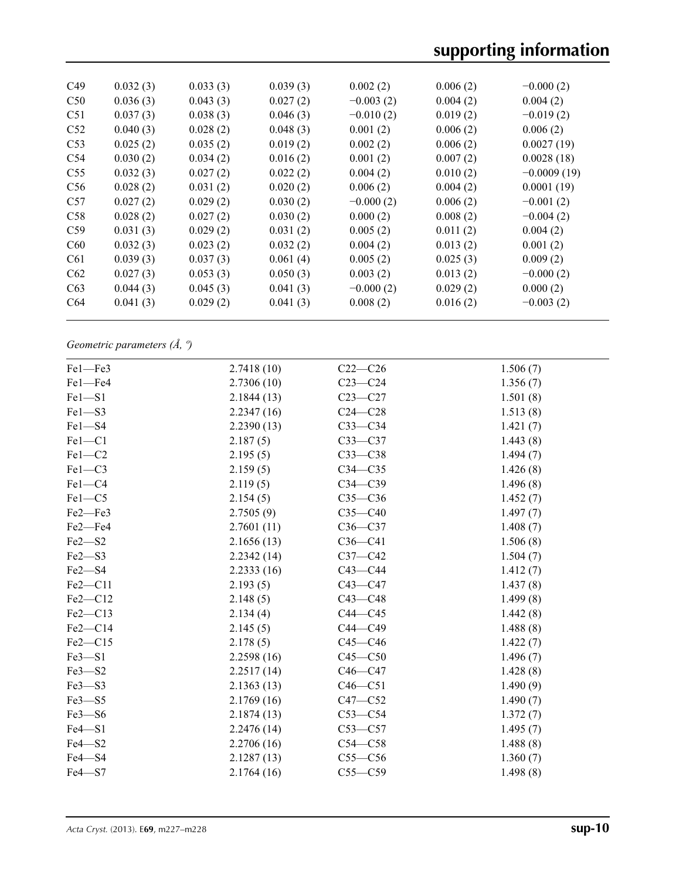| C <sub>49</sub> | 0.032(3) | 0.033(3) | 0.039(3) | 0.002(2)    | 0.006(2) | $-0.000(2)$   |  |
|-----------------|----------|----------|----------|-------------|----------|---------------|--|
| C50             | 0.036(3) | 0.043(3) | 0.027(2) | $-0.003(2)$ | 0.004(2) | 0.004(2)      |  |
| C <sub>51</sub> | 0.037(3) | 0.038(3) | 0.046(3) | $-0.010(2)$ | 0.019(2) | $-0.019(2)$   |  |
| C <sub>52</sub> | 0.040(3) | 0.028(2) | 0.048(3) | 0.001(2)    | 0.006(2) | 0.006(2)      |  |
| C <sub>53</sub> | 0.025(2) | 0.035(2) | 0.019(2) | 0.002(2)    | 0.006(2) | 0.0027(19)    |  |
| C <sub>54</sub> | 0.030(2) | 0.034(2) | 0.016(2) | 0.001(2)    | 0.007(2) | 0.0028(18)    |  |
| C <sub>55</sub> | 0.032(3) | 0.027(2) | 0.022(2) | 0.004(2)    | 0.010(2) | $-0.0009(19)$ |  |
| C56             | 0.028(2) | 0.031(2) | 0.020(2) | 0.006(2)    | 0.004(2) | 0.0001(19)    |  |
| C57             | 0.027(2) | 0.029(2) | 0.030(2) | $-0.000(2)$ | 0.006(2) | $-0.001(2)$   |  |
| C58             | 0.028(2) | 0.027(2) | 0.030(2) | 0.000(2)    | 0.008(2) | $-0.004(2)$   |  |
| C <sub>59</sub> | 0.031(3) | 0.029(2) | 0.031(2) | 0.005(2)    | 0.011(2) | 0.004(2)      |  |
| C60             | 0.032(3) | 0.023(2) | 0.032(2) | 0.004(2)    | 0.013(2) | 0.001(2)      |  |
| C <sub>61</sub> | 0.039(3) | 0.037(3) | 0.061(4) | 0.005(2)    | 0.025(3) | 0.009(2)      |  |
| C62             | 0.027(3) | 0.053(3) | 0.050(3) | 0.003(2)    | 0.013(2) | $-0.000(2)$   |  |
| C63             | 0.044(3) | 0.045(3) | 0.041(3) | $-0.000(2)$ | 0.029(2) | 0.000(2)      |  |
| C <sub>64</sub> | 0.041(3) | 0.029(2) | 0.041(3) | 0.008(2)    | 0.016(2) | $-0.003(2)$   |  |
|                 |          |          |          |             |          |               |  |

*Geometric parameters (Å, º)*

| $Fe1 - Fe3$   | 2.7418(10) | $C22-C26$   | 1.506(7) |
|---------------|------------|-------------|----------|
| Fel-Fe4       | 2.7306(10) | $C23-C24$   | 1.356(7) |
| $Fe1 - S1$    | 2.1844(13) | $C23-C27$   | 1.501(8) |
| $Fe1 - S3$    | 2.2347(16) | $C24 - C28$ | 1.513(8) |
| Fel-S4        | 2.2390(13) | $C33-C34$   | 1.421(7) |
| $Fe1 - C1$    | 2.187(5)   | $C33-C37$   | 1.443(8) |
| $Fe1-C2$      | 2.195(5)   | $C33-C38$   | 1.494(7) |
| $Fe1-C3$      | 2.159(5)   | $C34 - C35$ | 1.426(8) |
| $Fe1-C4$      | 2.119(5)   | $C34 - C39$ | 1.496(8) |
| $Fe1-C5$      | 2.154(5)   | $C35-C36$   | 1.452(7) |
| Fe2-Fe3       | 2.7505(9)  | $C35-C40$   | 1.497(7) |
| Fe2-Fe4       | 2.7601(11) | $C36-C37$   | 1.408(7) |
| $Fe2 - S2$    | 2.1656(13) | $C36-C41$   | 1.506(8) |
| $Fe2 - S3$    | 2.2342(14) | $C37-C42$   | 1.504(7) |
| Fe2-S4        | 2.2333(16) | $C43-C44$   | 1.412(7) |
| $Fe2$ – $Cl1$ | 2.193(5)   | $C43 - C47$ | 1.437(8) |
| $Fe2-C12$     | 2.148(5)   | $C43 - C48$ | 1.499(8) |
| $Fe2-C13$     | 2.134(4)   | $C44 - C45$ | 1.442(8) |
| Fe2-C14       | 2.145(5)   | $C44 - C49$ | 1.488(8) |
| $Fe2-C15$     | 2.178(5)   | $C45-C46$   | 1.422(7) |
| $Fe3 - S1$    | 2.2598(16) | $C45 - C50$ | 1.496(7) |
| $Fe3 - S2$    | 2.2517(14) | $C46 - C47$ | 1.428(8) |
| $Fe3 - S3$    | 2.1363(13) | $C46 - C51$ | 1.490(9) |
| $Fe3 - S5$    | 2.1769(16) | $C47 - C52$ | 1.490(7) |
| $Fe3 - S6$    | 2.1874(13) | $C53-C54$   | 1.372(7) |
| $Fe4-S1$      | 2.2476(14) | $C53-C57$   | 1.495(7) |
| $Fe4 - S2$    | 2.2706(16) | $C54 - C58$ | 1.488(8) |
| $Fe4 - S4$    | 2.1287(13) | $C55-C56$   | 1.360(7) |
| $Fe4 - S7$    | 2.1764(16) | $C55-C59$   | 1.498(8) |
|               |            |             |          |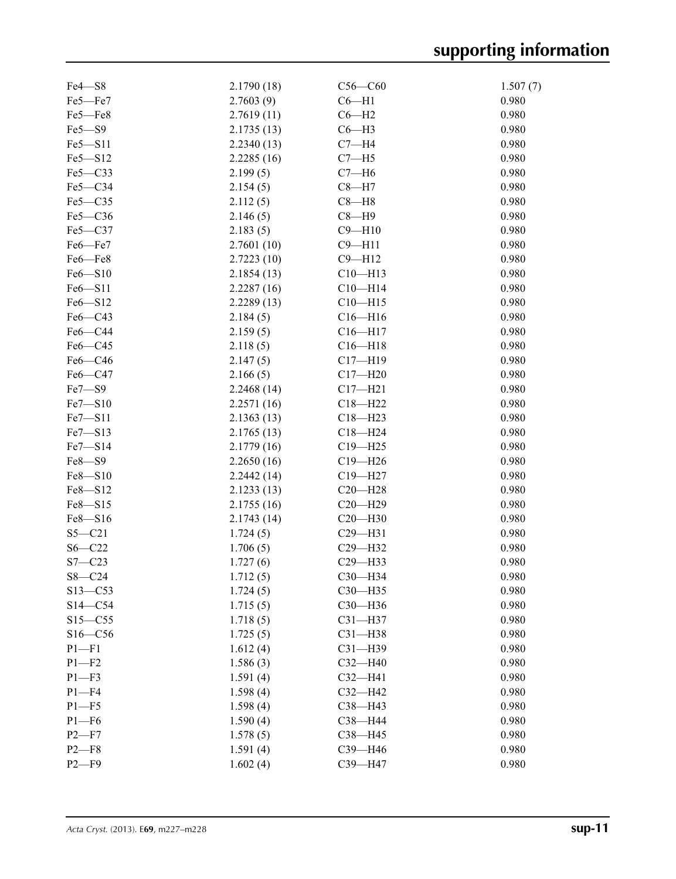| Fe4-S8      | 2.1790 (18) | $C56-C60$                  | 1.507(7) |
|-------------|-------------|----------------------------|----------|
| Fe5-Fe7     | 2.7603(9)   | $C6 - H1$                  | 0.980    |
| Fe5-Fe8     | 2.7619(11)  | $C6 - H2$                  | 0.980    |
| $Fe5 - S9$  | 2.1735(13)  | $C6 - H3$                  | 0.980    |
| Fe5-S11     | 2.2340(13)  | $C7 - H4$                  | 0.980    |
| Fe5-S12     | 2.2285(16)  | $C7 - H5$                  | 0.980    |
| Fe5-C33     | 2.199(5)    | $C7 - H6$                  | 0.980    |
| Fe5-C34     | 2.154(5)    | $C8 - H7$                  | 0.980    |
| Fe5-C35     | 2.112(5)    | $C8 - H8$                  | 0.980    |
| Fe5-C36     | 2.146(5)    | $C8 - H9$                  | 0.980    |
| Fe5-C37     | 2.183(5)    | $C9 - H10$                 | 0.980    |
| Fe6-Fe7     | 2.7601(10)  | $C9 - H11$                 | 0.980    |
| Fe6-Fe8     | 2.7223(10)  | $C9 - H12$                 | 0.980    |
| $Fe6 - S10$ | 2.1854(13)  | $C10 - H13$                | 0.980    |
| Fe6-S11     | 2.2287(16)  | $C10 - H14$                | 0.980    |
| $Fe6 - S12$ | 2.2289(13)  | $C10 - H15$                | 0.980    |
| Fe6-C43     | 2.184(5)    | $C16 - H16$                | 0.980    |
| Fe6-C44     | 2.159(5)    | $C16 - H17$                | 0.980    |
| $Fe6 - C45$ | 2.118(5)    | $C16 - H18$                | 0.980    |
| $Fe6 - C46$ | 2.147(5)    | $C17 - H19$                | 0.980    |
| Fe6-C47     | 2.166(5)    | $C17 - H20$                | 0.980    |
| $Fe7 - S9$  | 2.2468(14)  | $C17 - H21$                | 0.980    |
| Fe7-S10     | 2.2571(16)  | $C18 - H22$                | 0.980    |
| Fe7-S11     | 2.1363(13)  | $C18 - H23$                | 0.980    |
| Fe7-S13     | 2.1765(13)  | $C18 - H24$                | 0.980    |
| $Fe7 - S14$ | 2.1779(16)  | $C19 - H25$                | 0.980    |
| Fe8-S9      | 2.2650(16)  | $C19 - H26$                | 0.980    |
| Fe8-S10     | 2.2442(14)  | $C19 - H27$                | 0.980    |
| Fe8-S12     | 2.1233(13)  | $C20 - H28$                | 0.980    |
| Fe8-S15     | 2.1755(16)  | $C20 - H29$                | 0.980    |
|             |             |                            | 0.980    |
| Fe8-S16     | 2.1743(14)  | $C20 - H30$<br>$C29 - H31$ |          |
| $S5 - C21$  | 1.724(5)    |                            | 0.980    |
| $S6 - C22$  | 1.706(5)    | $C29 - H32$                | 0.980    |
| $S7 - C23$  | 1.727(6)    | $C29 - H33$                | 0.980    |
| $S8 - C24$  | 1.712(5)    | C30-H34                    | 0.980    |
| $S13 - C53$ | 1.724(5)    | $C30 - H35$                | 0.980    |
| $S14 - C54$ | 1.715(5)    | C30-H36                    | 0.980    |
| $S15 - C55$ | 1.718(5)    | $C31 - H37$                | 0.980    |
| $S16 - C56$ | 1.725(5)    | $C31 - H38$                | 0.980    |
| $P1 - F1$   | 1.612(4)    | $C31 - H39$                | 0.980    |
| $P1 - F2$   | 1.586(3)    | $C32 - H40$                | 0.980    |
| $P1 - F3$   | 1.591(4)    | $C32 - H41$                | 0.980    |
| $P1 - F4$   | 1.598(4)    | $C32 - H42$                | 0.980    |
| $P1 - F5$   | 1.598(4)    | $C38 - H43$                | 0.980    |
| $P1 - F6$   | 1.590(4)    | C38-H44                    | 0.980    |
| $P2-F7$     | 1.578(5)    | C38-H45                    | 0.980    |
| $P2 - F8$   | 1.591(4)    | C39-H46                    | 0.980    |
| $P2-F9$     | 1.602(4)    | C39-H47                    | 0.980    |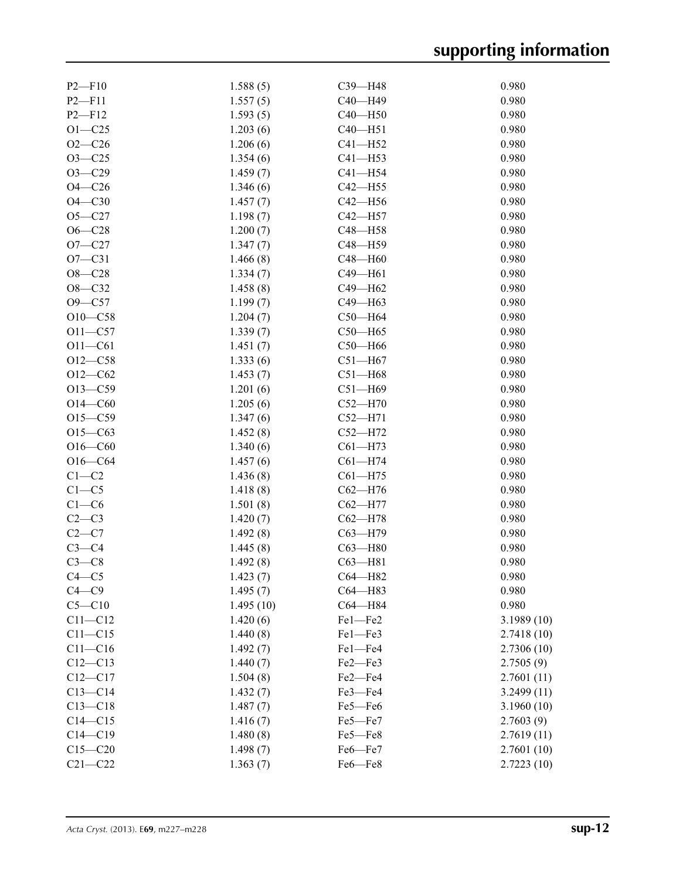| $P2-F10$    | 1.588(5)  | $C39 - H48$   | 0.980      |
|-------------|-----------|---------------|------------|
| $P2 - F11$  | 1.557(5)  | C40-H49       | 0.980      |
| $P2 - F12$  | 1.593(5)  | $C40 - H50$   | 0.980      |
| $O1 - C25$  | 1.203(6)  | $C40 - H51$   | 0.980      |
| $O2 - C26$  | 1.206(6)  | $C41 - H52$   | 0.980      |
| $O3 - C25$  | 1.354(6)  | $C41 - H53$   | 0.980      |
| $O3 - C29$  | 1.459(7)  | $C41 - H54$   | 0.980      |
| $O4 - C26$  | 1.346(6)  | $C42 - H55$   | 0.980      |
| $O4 - C30$  | 1.457(7)  | $C42 - H56$   | 0.980      |
| $O5 - C27$  | 1.198(7)  | $C42 - H57$   | 0.980      |
| $O6 - C28$  | 1.200(7)  | C48-H58       | 0.980      |
| $O7 - C27$  | 1.347(7)  | C48-H59       | 0.980      |
| $O7 - C31$  | 1.466(8)  | C48-H60       | 0.980      |
| $O8 - C28$  | 1.334(7)  | C49-H61       | 0.980      |
| $O8 - C32$  | 1.458(8)  | C49-H62       | 0.980      |
| $O9 - C57$  |           | C49-H63       | 0.980      |
|             | 1.199(7)  |               |            |
| $O10 - C58$ | 1.204(7)  | $C50 - H64$   | 0.980      |
| $O11 - C57$ | 1.339(7)  | $C50 - H65$   | 0.980      |
| $O11 - C61$ | 1.451(7)  | $C50 - H66$   | 0.980      |
| $O12 - C58$ | 1.333(6)  | $C51 - H67$   | 0.980      |
| $O12 - C62$ | 1.453(7)  | $C51 - H68$   | 0.980      |
| $O13 - C59$ | 1.201(6)  | $C51 - H69$   | 0.980      |
| $O14 - C60$ | 1.205(6)  | $C52 - H70$   | 0.980      |
| $O15 - C59$ | 1.347(6)  | $C52-H71$     | 0.980      |
| $O15 - C63$ | 1.452(8)  | $C52 - H72$   | 0.980      |
| $O16 - C60$ | 1.340(6)  | $C61 - H73$   | 0.980      |
| $O16 - C64$ | 1.457(6)  | $C61 - H74$   | 0.980      |
| $C1-C2$     | 1.436(8)  | $C61 - H75$   | 0.980      |
| $C1-C5$     | 1.418(8)  | $C62 - H76$   | 0.980      |
| $C1-C6$     | 1.501(8)  | $C62 - H77$   | 0.980      |
| $C2-C3$     | 1.420(7)  | $C62 - H78$   | 0.980      |
| $C2-C7$     | 1.492(8)  | $C63 - H79$   | 0.980      |
| $C3-C4$     | 1.445(8)  | $C63 - H80$   | 0.980      |
| $C3-C8$     | 1.492(8)  | $C63 - H81$   | 0.980      |
| $C4 - C5$   | 1.423(7)  | C64-H82       | 0.980      |
| $C4 - C9$   | 1.495(7)  | C64-H83       | 0.980      |
| $C5 - C10$  | 1.495(10) | C64-H84       | 0.980      |
| $C11 - C12$ | 1.420(6)  | Fe1-Fe2       | 3.1989(10) |
| $C11 - C15$ | 1.440(8)  | Fe1-Fe3       | 2.7418(10) |
| $C11 - C16$ | 1.492(7)  | Fe1-Fe4       | 2.7306(10) |
| $C12 - C13$ | 1.440(7)  | $Fe2$ — $Fe3$ | 2.7505(9)  |
| $C12-C17$   | 1.504(8)  | Fe2-Fe4       | 2.7601(11) |
| $C13 - C14$ | 1.432(7)  | Fe3-Fe4       | 3.2499(11) |
| $C13 - C18$ | 1.487(7)  | Fe5-Fe6       | 3.1960(10) |
| $C14 - C15$ | 1.416(7)  | Fe5-Fe7       | 2.7603(9)  |
|             |           |               |            |
| $C14 - C19$ | 1.480(8)  | Fe5-Fe8       | 2.7619(11) |
| $C15 - C20$ | 1.498(7)  | Fe6-Fe7       | 2.7601(10) |
| $C21 - C22$ | 1.363(7)  | Fe6-Fe8       | 2.7223(10) |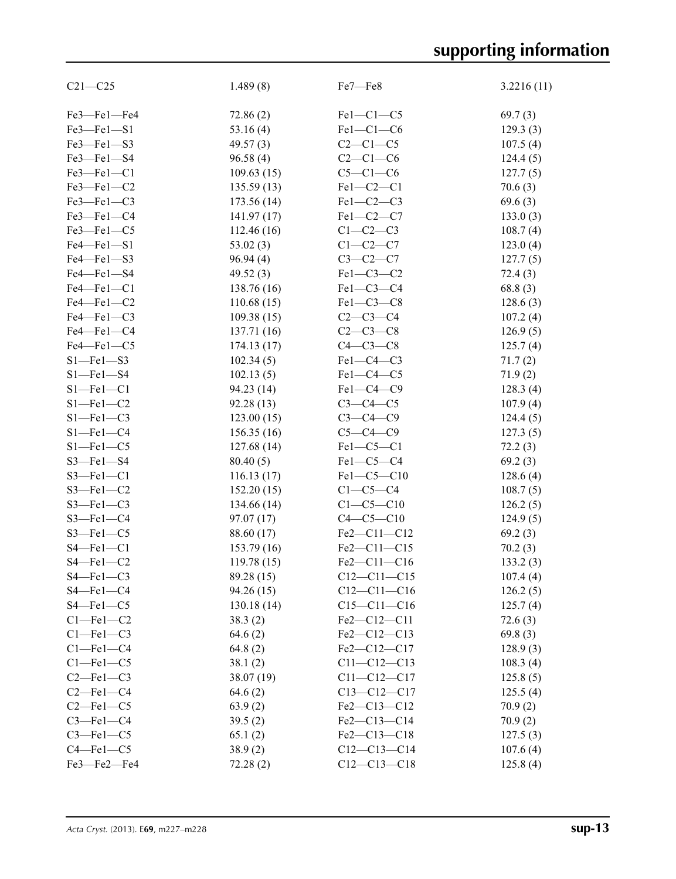# **supporting information**

| $C21 - C25$     | 1.489(8)    | Fe7-Fe8           | 3.2216(11) |
|-----------------|-------------|-------------------|------------|
| Fe3-Fe1-Fe4     | 72.86(2)    | $Fe1-C1-C5$       | 69.7(3)    |
| Fe3-Fe1-S1      | 53.16(4)    | $Fe1-C1-C6$       | 129.3(3)   |
| Fe3-Fe1-S3      | 49.57(3)    | $C2-C1-C5$        | 107.5(4)   |
| Fe3-Fe1-S4      | 96.58(4)    | $C2-C1-C6$        | 124.4(5)   |
| Fe3-Fe1-C1      | 109.63(15)  | $C5-C1-C6$        | 127.7(5)   |
| Fe3-Fe1-C2      | 135.59(13)  | $Fe1-C2-C1$       | 70.6(3)    |
| Fe3-Fe1-C3      | 173.56(14)  | $Fe1-C2-C3$       | 69.6(3)    |
| Fe3-Fe1-C4      | 141.97(17)  | Fe1-C2-C7         | 133.0(3)   |
| Fe3-Fe1-C5      | 112.46(16)  | $C1-C2-C3$        | 108.7(4)   |
| Fe4-Fe1-S1      | 53.02(3)    | $C1-C2-C7$        | 123.0(4)   |
| Fe4-Fe1-S3      | 96.94(4)    | $C3-C2-C7$        | 127.7(5)   |
| Fe4-Fe1-S4      | 49.52(3)    | $Fe1-C3-C2$       | 72.4(3)    |
| Fe4-Fe1-C1      | 138.76 (16) | $Fe1-C3-C4$       | 68.8(3)    |
| Fe4-Fe1-C2      | 110.68(15)  | Fe1-C3-C8         | 128.6(3)   |
| Fe4-Fe1-C3      | 109.38(15)  | $C2-C3-C4$        | 107.2(4)   |
| Fe4-Fe1-C4      | 137.71 (16) | $C2 - C3 - C8$    | 126.9(5)   |
| Fe4-Fe1-C5      | 174.13(17)  | $C4-C3-C8$        | 125.7(4)   |
| $S1 - Fe1 - S3$ | 102.34(5)   | $Fe1-C4-C3$       | 71.7(2)    |
| $S1 - Fe1 - S4$ | 102.13(5)   | $Fe1-C4-C5$       | 71.9(2)    |
| $S1 - Fe1 - C1$ | 94.23 (14)  | $Fe1-C4-C9$       | 128.3(4)   |
| $S1 - Fe1 - C2$ | 92.28(13)   | $C3-C4-C5$        | 107.9(4)   |
| $S1 - Fe1 - C3$ | 123.00(15)  | $C3-C4-C9$        | 124.4(5)   |
| $S1 - Fe1 - C4$ | 156.35(16)  | $C5-C4-C9$        | 127.3(5)   |
| $S1 - Fe1 - C5$ | 127.68(14)  | $Fe1-C5-C1$       | 72.2(3)    |
| $S3$ -Fel-S4    | 80.40(5)    | $Fe1-C5-C4$       | 69.2(3)    |
| $S3$ -Fel-C1    | 116.13(17)  | Fe1-C5-C10        | 128.6(4)   |
| $S3$ –Fel–C2    | 152.20(15)  | $C1-C5-C4$        | 108.7(5)   |
| $S3$ –Fel–C3    | 134.66 (14) | $C1 - C5 - C10$   | 126.2(5)   |
| $S3 - Fe1 - C4$ | 97.07 (17)  | $C4-C5-C10$       | 124.9(5)   |
| $S3$ –Fel–C5    | 88.60 (17)  | Fe2-C11-C12       | 69.2(3)    |
| $S4 - Fe1 - C1$ | 153.79 (16) | Fe2-C11-C15       | 70.2(3)    |
| $S4 - Fe1 - C2$ | 119.78(15)  | Fe2-C11-C16       | 133.2(3)   |
| $S4 - Fe1 - C3$ | 89.28 (15)  | $C12 - C11 - C15$ | 107.4(4)   |
| $S4 - Fe1 - C4$ | 94.26 (15)  | $C12 - C11 - C16$ | 126.2(5)   |
| $S4 - Fe1 - C5$ | 130.18(14)  | $C15 - C11 - C16$ | 125.7(4)   |
| $Cl$ -Fel-C2    | 38.3(2)     | Fe2-C12-C11       | 72.6(3)    |
| $C1 - Fe1 - C3$ | 64.6(2)     | Fe2-C12-C13       | 69.8(3)    |
| $Cl$ -Fel-C4    | 64.8(2)     | Fe2-C12-C17       | 128.9(3)   |
| $Cl$ -Fel-C5    | 38.1(2)     | $C11 - C12 - C13$ | 108.3(4)   |
| $C2$ -Fel- $C3$ | 38.07 (19)  | $C11 - C12 - C17$ | 125.8(5)   |
| $C2$ -Fel- $C4$ | 64.6(2)     | $C13-C12-C17$     | 125.5(4)   |
| $C2$ -Fel- $C5$ | 63.9(2)     | Fe2-C13-C12       | 70.9(2)    |
| $C3$ -Fel- $C4$ | 39.5(2)     | Fe2-C13-C14       | 70.9(2)    |
| $C3$ -Fel- $C5$ | 65.1(2)     | Fe2-C13-C18       | 127.5(3)   |
| $C4 - Fe1 - C5$ | 38.9(2)     | $C12-C13-C14$     | 107.6(4)   |
| Fe3-Fe2-Fe4     | 72.28(2)    | $C12-C13-C18$     | 125.8(4)   |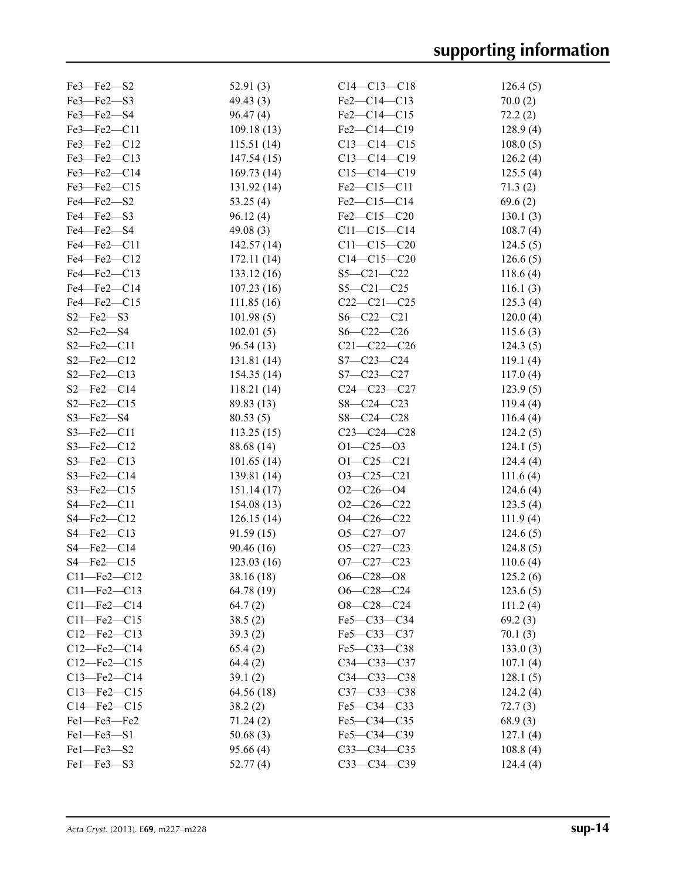| $Fe3$ — $Fe2$ — $S2$              | 52.91(3)    | $C14 - C13 - C18$ | 126.4(5) |
|-----------------------------------|-------------|-------------------|----------|
| Fe3-Fe2-S3                        | 49.43(3)    | Fe2-C14-C13       | 70.0(2)  |
| Fe3-Fe2-S4                        | 96.47(4)    | $Fe2-C14-C15$     | 72.2(2)  |
| $Fe3$ – $Fe2$ – $C11$             | 109.18(13)  | Fe2-C14-C19       | 128.9(4) |
| Fe3-Fe2-C12                       | 115.51(14)  | $C13 - C14 - C15$ | 108.0(5) |
| Fe3-Fe2-C13                       | 147.54(15)  | $C13 - C14 - C19$ | 126.2(4) |
| Fe3-Fe2-C14                       | 169.73(14)  | $C15 - C14 - C19$ | 125.5(4) |
| Fe3-Fe2-C15                       | 131.92(14)  | Fe2-C15-C11       | 71.3(2)  |
| Fe4-Fe2-S2                        | 53.25(4)    | Fe2-C15-C14       | 69.6(2)  |
| Fe4-Fe2-S3                        | 96.12(4)    | $Fe2-C15-C20$     | 130.1(3) |
| Fe4-Fe2-S4                        | 49.08 $(3)$ | $C11 - C15 - C14$ | 108.7(4) |
| Fe4-Fe2-C11                       | 142.57(14)  | $C11 - C15 - C20$ | 124.5(5) |
| Fe4-Fe2-C12                       | 172.11(14)  | $C14 - C15 - C20$ | 126.6(5) |
| Fe4-Fe2-C13                       | 133.12(16)  | $S5 - C21 - C22$  | 118.6(4) |
| Fe4-Fe2-C14                       | 107.23(16)  | $S5 - C21 - C25$  | 116.1(3) |
| Fe4-Fe2-C15                       | 111.85(16)  | $C22-C21-C25$     | 125.3(4) |
| $S2 - Fe2 - S3$                   | 101.98(5)   | $S6 - C22 - C21$  | 120.0(4) |
| $S2$ —Fe $2$ —S4                  | 102.01(5)   | $S6 - C22 - C26$  | 115.6(3) |
| $S2$ —Fe $2$ —C11                 | 96.54(13)   | $C21 - C22 - C26$ | 124.3(5) |
| $S2 - Fe2 - C12$                  | 131.81(14)  | $S7 - C23 - C24$  | 119.1(4) |
| $S2$ –Fe2–C13                     | 154.35(14)  | S7-C23-C27        | 117.0(4) |
| $S2 - Fe2 - C14$                  | 118.21(14)  | $C24 - C23 - C27$ | 123.9(5) |
| $S2$ –Fe2–C15                     | 89.83 (13)  | $S8 - C24 - C23$  |          |
| $S3$ –Fe2–S4                      |             | $S8 - C24 - C28$  | 119.4(4) |
|                                   | 80.53(5)    | $C23 - C24 - C28$ | 116.4(4) |
| $S3$ —Fe2—C11<br>$S3 - Fe2 - C12$ | 113.25(15)  |                   | 124.2(5) |
|                                   | 88.68 (14)  | $O1 - C25 - O3$   | 124.1(5) |
| $S3$ –Fe2–C13                     | 101.65(14)  | $O1 - C25 - C21$  | 124.4(4) |
| $S3$ –Fe2–C14                     | 139.81(14)  | $O3-C25-C21$      | 111.6(4) |
| $S3$ –Fe2–C15                     | 151.14(17)  | $O2 - C26 - O4$   | 124.6(4) |
| $S4 - Fe2 - C11$                  | 154.08(13)  | $O2-C26-C22$      | 123.5(4) |
| $S4 - Fe2 - C12$                  | 126.15(14)  | $O4 - C26 - C22$  | 111.9(4) |
| S4-Fe2-C13                        | 91.59(15)   | $O5 - C27 - O7$   | 124.6(5) |
| $S4 - Fe2 - C14$                  | 90.46 (16)  | $O5 - C27 - C23$  | 124.8(5) |
| $S4 - Fe2 - C15$                  | 123.03(16)  | $O7 - C27 - C23$  | 110.6(4) |
| C11-Fe2-C12                       | 38.16 (18)  | $O6 - C28 - O8$   | 125.2(6) |
| $C11$ —Fe2— $C13$                 | 64.78 (19)  | $O6 - C28 - C24$  | 123.6(5) |
| $C11 - Fe2 - C14$                 | 64.7(2)     | $O8 - C28 - C24$  | 111.2(4) |
| $C11 - Fe2 - C15$                 | 38.5(2)     | Fe5-C33-C34       | 69.2(3)  |
| $C12 - Fe2 - C13$                 | 39.3(2)     | $Fe5-C33-C37$     | 70.1(3)  |
| $C12$ —Fe2— $C14$                 | 65.4(2)     | Fe5-C33-C38       | 133.0(3) |
| $C12$ —Fe2— $C15$                 | 64.4(2)     | $C34 - C33 - C37$ | 107.1(4) |
| $C13 - Fe2 - C14$                 | 39.1(2)     | $C34 - C33 - C38$ | 128.1(5) |
| $C13$ —Fe2— $C15$                 | 64.56 (18)  | C37-C33-C38       | 124.2(4) |
| $C14 - Fe2 - C15$                 | 38.2(2)     | Fe5-C34-C33       | 72.7(3)  |
| Fe1-Fe3-Fe2                       | 71.24(2)    | $Fe5-C34-C35$     | 68.9(3)  |
| Fel-Fe3-S1                        | 50.68(3)    | Fe5-C34-C39       | 127.1(4) |
| Fe1-Fe3-S2                        | 95.66 (4)   | $C33 - C34 - C35$ | 108.8(4) |
| Fel-Fe3-S3                        | 52.77(4)    | $C33 - C34 - C39$ | 124.4(4) |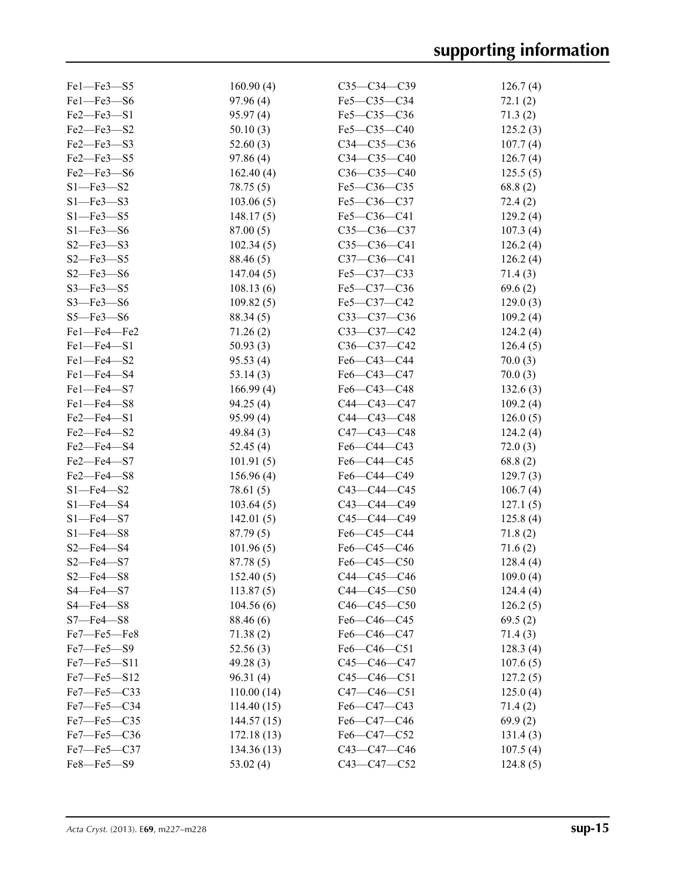| $Fe1$ — $Fe3$ — $S5$               | 160.90(4)  | $C35 - C34 - C39$                                 | 126.7(4) |
|------------------------------------|------------|---------------------------------------------------|----------|
| Fel-Fe3-S6                         | 97.96(4)   | Fe5-C35-C34                                       | 72.1(2)  |
| $Fe2$ – $Fe3$ – $S1$               | 95.97(4)   | Fe5-C35-C36                                       | 71.3(2)  |
| Fe2-Fe3-S2                         | 50.10(3)   | $Fe5-C35-C40$                                     | 125.2(3) |
| Fe2-Fe3-S3                         | 52.60(3)   | $C34 - C35 - C36$                                 | 107.7(4) |
| Fe2-Fe3-S5                         | 97.86(4)   | $C34-C35-C40$                                     | 126.7(4) |
| Fe2-Fe3-S6                         | 162.40(4)  | $C36-C35-C40$                                     | 125.5(5) |
| $S1$ -Fe3-S2                       | 78.75 (5)  | Fe5-C36-C35                                       | 68.8(2)  |
| $S1 - Fe3 - S3$                    | 103.06(5)  | Fe5-C36-C37                                       | 72.4(2)  |
| $S1 - Fe3 - S5$                    | 148.17(5)  | Fe5-C36-C41                                       | 129.2(4) |
| $S1$ —Fe3—S6                       | 87.00(5)   | $C35-C36-C37$                                     | 107.3(4) |
| $S2$ –Fe3–S3                       | 102.34(5)  | $C35-C36-C41$                                     | 126.2(4) |
| $S2$ –Fe3–S5                       | 88.46 (5)  | C37-C36-C41                                       | 126.2(4) |
| $S2$ —Fe3—S6                       | 147.04(5)  | Fe5-C37-C33                                       | 71.4(3)  |
| $S3$ —Fe3—S5                       | 108.13(6)  | $Fe5-C37-C36$                                     | 69.6(2)  |
| $S3$ –Fe3–S6                       | 109.82(5)  | Fe5-C37-C42                                       | 129.0(3) |
| $S5 - Fe3 - S6$                    | 88.34 (5)  | $C33-C37-C36$                                     | 109.2(4) |
| Fe1-Fe4-Fe2                        | 71.26(2)   | $C33-C37-C42$                                     | 124.2(4) |
| $Fe1 - Fe4 - Si$                   | 50.93(3)   | $C36-C37-C42$                                     | 126.4(5) |
| Fe1-Fe4-S2                         | 95.53(4)   | Fe6-C43-C44                                       | 70.0(3)  |
| Fe1-Fe4-S4                         | 53.14(3)   | $Fe6-C43-C47$                                     | 70.0(3)  |
| $Fe1 - Fe4 - S7$                   | 166.99(4)  | $Fe6-C43-C48$                                     | 132.6(3) |
| Fe1-Fe4-S8                         | 94.25 (4)  | C44-C43-C47                                       | 109.2(4) |
| Fe2-Fe4-S1                         |            | C44-C43-C48                                       |          |
|                                    | 95.99(4)   | $C47 - C43 - C48$                                 | 126.0(5) |
| $Fe2$ — $Fe4$ — $S2$<br>Fe2-Fe4-S4 | 49.84(3)   |                                                   | 124.2(4) |
|                                    | 52.45(4)   | $Fe6-C44-C43$                                     | 72.0(3)  |
| Fe2-Fe4-S7                         | 101.91(5)  | Fe6-C44-C45                                       | 68.8(2)  |
| Fe2-Fe4-S8                         | 156.96(4)  | Fe6-C44-C49                                       | 129.7(3) |
| $S1 - Fe4 - S2$                    | 78.61 (5)  | $C43 - C44 - C45$                                 | 106.7(4) |
| $S1 - Fe4 - S4$                    | 103.64(5)  | C43-C44-C49                                       | 127.1(5) |
| $S1 - Fe4 - S7$                    | 142.01(5)  | C45-C44-C49                                       | 125.8(4) |
| $S1$ —Fe4—S8                       | 87.79(5)   | Fe6-C45-C44                                       | 71.8(2)  |
| $S2$ –Fe4–S4                       | 101.96(5)  | Fe6-C45-C46                                       | 71.6(2)  |
| $S2 - Fe4 - S7$                    | 87.78(5)   | Fe6-C45-C50                                       | 128.4(4) |
| $S2 - Fe4 - S8$                    | 152.40(5)  | C44-C45-C46                                       | 109.0(4) |
| S4-Fe4-S7                          | 113.87(5)  | C44-C45-C50                                       | 124.4(4) |
| $S4$ –Fe $4$ –S $8$                | 104.56(6)  | $C46-C45-C50$                                     | 126.2(5) |
| $S7$ —Fe4—S8                       | 88.46 (6)  | $Fe6 - C46 - C45$                                 | 69.5(2)  |
| Fe7-Fe5-Fe8                        | 71.38(2)   | Fe6-C46-C47                                       | 71.4(3)  |
| $Fe7$ — $Fe5$ — $S9$               | 52.56(3)   | Fe6-C46-C51                                       | 128.3(4) |
| $Fe7$ — $Fe5$ — $S11$              | 49.28(3)   | $C45 - C46 - C47$                                 | 107.6(5) |
| Fe7-Fe5-S12                        | 96.31(4)   | $C45-C46-C51$                                     | 127.2(5) |
| $Fe7$ — $Fe5$ — $C33$              | 110.00(14) | $C47 - C46 - C51$                                 | 125.0(4) |
| $Fe7$ — $Fe5$ — $C34$              | 114.40(15) | $Fe6 - C47 - C43$                                 | 71.4 (2) |
| Fe7-Fe5-C35                        | 144.57(15) | Fe <sub>6</sub> -C <sub>47</sub> -C <sub>46</sub> | 69.9(2)  |
| Fe7-Fe5-C36                        | 172.18(13) | Fe6-C47-C52                                       | 131.4(3) |
| $Fe7$ – $Fe5$ – $C37$              | 134.36(13) | C43-C47-C46                                       | 107.5(4) |
| Fe8-Fe5-S9                         | 53.02(4)   | C43-C47-C52                                       | 124.8(5) |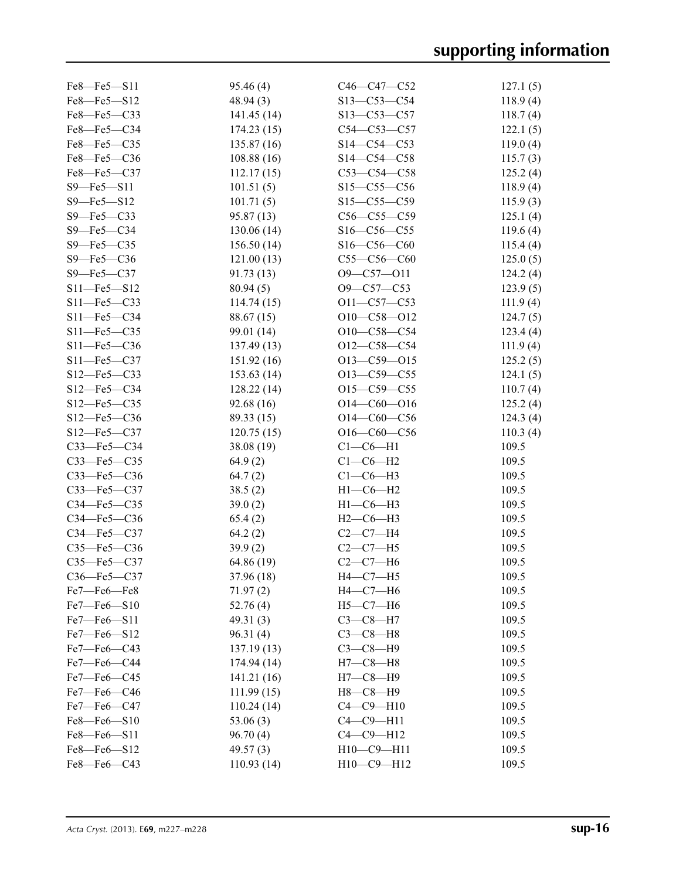| $Fe8$ — $Fe5$ — $S11$ | 95.46(4)    | $C46-C47-C52$      | 127.1(5) |
|-----------------------|-------------|--------------------|----------|
| Fe8-Fe5-S12           | 48.94(3)    | $S13 - C53 - C54$  | 118.9(4) |
| Fe8-Fe5-C33           | 141.45(14)  | $S13 - C53 - C57$  | 118.7(4) |
| Fe8-Fe5-C34           | 174.23(15)  | $C54 - C53 - C57$  | 122.1(5) |
| Fe8-Fe5-C35           | 135.87(16)  | $S14 - C54 - C53$  | 119.0(4) |
| Fe8-Fe5-C36           | 108.88(16)  | $S14 - C54 - C58$  | 115.7(3) |
| Fe8-Fe5-C37           | 112.17(15)  | $C53-C54-C58$      | 125.2(4) |
| $S9 - Fe5 - S11$      | 101.51(5)   | $S15 - C55 - C56$  | 118.9(4) |
| S9-Fe5-S12            | 101.71(5)   | $S15 - C55 - C59$  | 115.9(3) |
| $S9$ –Fe5–C33         | 95.87(13)   | $C56-C55-C59$      | 125.1(4) |
| $S9$ –Fe5–C34         | 130.06(14)  | $S16 - C56 - C55$  | 119.6(4) |
| $S9$ –Fe5–C35         | 156.50(14)  | $S16 - C56 - C60$  | 115.4(4) |
| $S9 - Fe5 - C36$      | 121.00(13)  | $C55-C56-C60$      | 125.0(5) |
| $S9$ –Fe5–C37         | 91.73(13)   | $O9 - C57 - O11$   | 124.2(4) |
| $S11 - Fe5 - S12$     | 80.94(5)    | $O9 - C57 - C53$   | 123.9(5) |
| $S11$ -Fe5-C33        | 114.74(15)  | $O11 - C57 - C53$  | 111.9(4) |
| $S11$ -Fe5-C34        | 88.67 (15)  | $O10-C58-O12$      | 124.7(5) |
| $S11$ -Fe5-C35        | 99.01 (14)  | O10-C58-C54        | 123.4(4) |
| $S11$ -Fe5-C36        | 137.49(13)  | $O12-C58-C54$      | 111.9(4) |
| $S11 - Fe5 - C37$     | 151.92(16)  | $O13 - C59 - O15$  | 125.2(5) |
| $S12$ —Fe5—C33        | 153.63(14)  | $O13 - C59 - C55$  | 124.1(5) |
| $S12 - Fe5 - C34$     | 128.22(14)  | $O15-C59-C55$      | 110.7(4) |
| $S12$ —Fe5—C35        | 92.68(16)   | $O14 - C60 - O16$  | 125.2(4) |
| $S12 - Fe5 - C36$     | 89.33(15)   | $O14 - C60 - C56$  | 124.3(4) |
| S12-Fe5-C37           | 120.75(15)  | $O16-C60-C56$      | 110.3(4) |
| C33-Fe5-C34           | 38.08(19)   | $Cl$ - $C$ 6- $H1$ | 109.5    |
| C33-Fe5-C35           | 64.9(2)     | $C1-C6-H2$         | 109.5    |
| C33-Fe5-C36           | 64.7(2)     | $C1-C6-H3$         | 109.5    |
| C33-Fe5-C37           | 38.5(2)     | $H1-C6-H2$         | 109.5    |
| C34-Fe5-C35           | 39.0(2)     | $H1-C6-H3$         | 109.5    |
| C34-Fe5-C36           | 65.4(2)     | $H2-C6-H3$         | 109.5    |
| $C34$ -Fe5- $C37$     | 64.2(2)     | $C2-C7-H4$         | 109.5    |
| $C35 - Fe5 - C36$     | 39.9(2)     | $C2-C7-H5$         | 109.5    |
| C35-Fe5-C37           | 64.86 (19)  | $C2-C7-H6$         | 109.5    |
| C36-Fe5-C37           | 37.96 (18)  | $H4-C7-H5$         | 109.5    |
| Fe7-Fe6-Fe8           | 71.97(2)    | $H4-C7-H6$         | 109.5    |
| $Fe7$ — $Fe6$ — $S10$ | 52.76(4)    | $H5-C7-H6$         | 109.5    |
| Fe7-Fe6-S11           | 49.31 $(3)$ | $C3-C8-H7$         | 109.5    |
| Fe7-Fe6-S12           | 96.31(4)    | $C3-C8-H8$         | 109.5    |
| Fe7-Fe6-C43           | 137.19(13)  | $C3-C8-H9$         | 109.5    |
| Fe7-Fe6-C44           | 174.94 (14) | $H7-C8-H8$         | 109.5    |
| Fe7-Fe6-C45           | 141.21(16)  | $H7-C8-H9$         | 109.5    |
| Fe7-Fe6-C46           | 111.99(15)  | $H8-C8-H9$         | 109.5    |
| Fe7-Fe6-C47           | 110.24(14)  | $C4-C9-H10$        | 109.5    |
| Fe8-Fe6-S10           | 53.06(3)    | $C4-C9-H11$        | 109.5    |
| Fe8-Fe6-S11           | 96.70(4)    | $C4 - C9 - H12$    | 109.5    |
| Fe8-Fe6-S12           | 49.57(3)    | $H10-C9-H11$       | 109.5    |
| Fe8-Fe6-C43           | 110.93(14)  | H10-C9-H12         | 109.5    |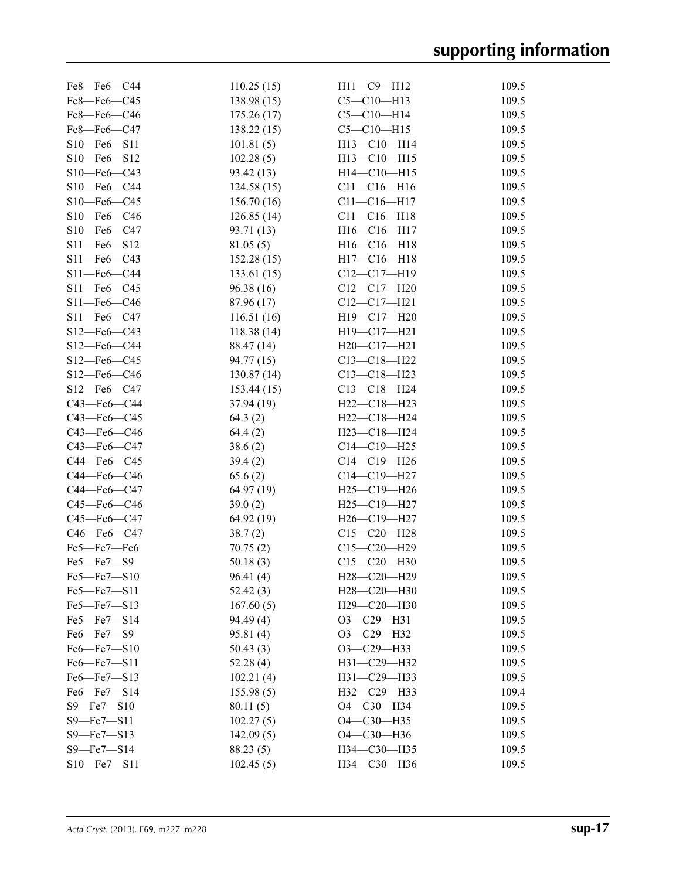| $Fe8$ — $Fe6$ — $C44$ | 110.25(15) | $H11-C9-H12$      | 109.5 |
|-----------------------|------------|-------------------|-------|
| Fe8-Fe6-C45           | 138.98(15) | $C5 - C10 - H13$  | 109.5 |
| Fe8-Fe6-C46           | 175.26(17) | $C5 - C10 - H14$  | 109.5 |
| Fe8-Fe6-C47           | 138.22(15) | $C5 - C10 - H15$  | 109.5 |
| $S10 - Fe6 - S11$     | 101.81(5)  | H13-C10-H14       | 109.5 |
| S10-Fe6-S12           | 102.28(5)  | H13-C10-H15       | 109.5 |
| S10-Fe6-C43           | 93.42 (13) | $H14-C10-H15$     | 109.5 |
| S10-Fe6-C44           | 124.58(15) | $C11 - C16 - H16$ | 109.5 |
| $S10$ -Fe6-C45        | 156.70(16) | $C11 - C16 - H17$ | 109.5 |
| S10-Fe6-C46           | 126.85(14) | $C11 - C16 - H18$ | 109.5 |
| $S10$ -Fe $6$ -C47    | 93.71 (13) | H16-C16-H17       | 109.5 |
| $S11 - Fe6 - S12$     | 81.05(5)   | $H16-C16-H18$     | 109.5 |
| S11-Fe6-C43           | 152.28(15) | H17-C16-H18       | 109.5 |
| S11-Fe6-C44           | 133.61(15) | $C12-C17-H19$     | 109.5 |
| $S11$ -Fe6-C45        | 96.38(16)  | $C12-C17-H20$     | 109.5 |
| S11-Fe6-C46           | 87.96 (17) | $C12-C17-H21$     | 109.5 |
| $S11$ —Fe6—C47        | 116.51(16) | H19-C17-H20       | 109.5 |
| S12-Fe6-C43           | 118.38(14) | H19-C17-H21       | 109.5 |
| S12-Fe6-C44           | 88.47 (14) | $H20-C17-H21$     | 109.5 |
| $S12$ —Fe6—C45        | 94.77 (15) | $C13 - C18 - H22$ | 109.5 |
| S12-Fe6-C46           | 130.87(14) | $C13 - C18 - H23$ | 109.5 |
| S12-Fe6-C47           | 153.44(15) | $C13 - C18 - H24$ | 109.5 |
| $C43$ —Fe6—C44        | 37.94(19)  | H22-C18-H23       | 109.5 |
| C43-Fe6-C45           | 64.3(2)    | $H22-C18-H24$     | 109.5 |
| C43-Fe6-C46           | 64.4(2)    | $H23 - C18 - H24$ | 109.5 |
| $C43$ —Fe $6$ —C47    | 38.6(2)    | $C14-C19-H25$     | 109.5 |
| C44-Fe6-C45           | 39.4(2)    | C14-C19-H26       | 109.5 |
| C44-Fe6-C46           | 65.6(2)    | $C14-C19-H27$     | 109.5 |
| C44-Fe6-C47           | 64.97(19)  | $H25 - C19 - H26$ | 109.5 |
| $C45$ —Fe $6$ —C $46$ | 39.0(2)    | $H25-C19-H27$     | 109.5 |
| C45-Fe6-C47           | 64.92 (19) | H26-C19-H27       | 109.5 |
| $C46$ —Fe $6$ —C47    | 38.7(2)    | $C15 - C20 - H28$ | 109.5 |
| Fe5-Fe7-Fe6           | 70.75(2)   | $C15 - C20 - H29$ | 109.5 |
| Fe5-Fe7-S9            | 50.18(3)   | $C15 - C20 - H30$ | 109.5 |
| Fe5-Fe7-S10           | 96.41(4)   | H28-C20-H29       | 109.5 |
| $Fe5 - Fe7 - S11$     | 52.42(3)   | H28-C20-H30       | 109.5 |
| Fe5-Fe7-S13           | 167.60(5)  | H29-C20-H30       | 109.5 |
| $Fe5 - Fe7 - S14$     | 94.49(4)   | $O3-C29-H31$      | 109.5 |
| Fe6-Fe7-S9            | 95.81(4)   | O3-C29-H32        | 109.5 |
| Fe6-Fe7-S10           | 50.43(3)   | $O3-C29-H33$      | 109.5 |
| Fe6-Fe7-S11           | 52.28(4)   | H31-C29-H32       | 109.5 |
| Fe6-Fe7-S13           | 102.21(4)  | H31-C29-H33       | 109.5 |
| Fe6-Fe7-S14           | 155.98(5)  | H32-C29-H33       | 109.4 |
| $S9$ —Fe7—S10         | 80.11(5)   | O4-C30-H34        | 109.5 |
| S9-Fe7-S11            | 102.27(5)  | O4-C30-H35        | 109.5 |
| $S9$ –Fe $7$ –S13     | 142.09(5)  | O4-C30-H36        | 109.5 |
| S9-Fe7-S14            | 88.23 (5)  | H34-C30-H35       | 109.5 |
| $S10 - Fe7 - S11$     | 102.45(5)  | НЗ4-С30-НЗ6       | 109.5 |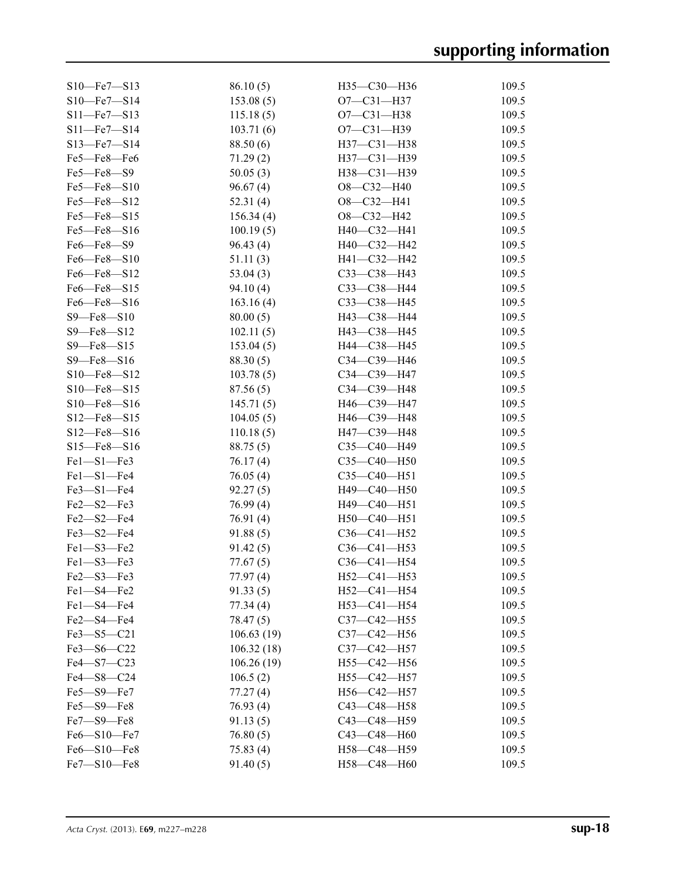| $S10$ —Fe7—S13    | 86.10(5)   | H35-C30-H36       | 109.5 |
|-------------------|------------|-------------------|-------|
| $S10 - Fe7 - S14$ | 153.08(5)  | $O7 - C31 - H37$  | 109.5 |
| $S11$ —Fe7—S13    | 115.18(5)  | $O7 - C31 - H38$  | 109.5 |
| $S11 - Fe7 - S14$ | 103.71(6)  | $O7 - C31 - H39$  | 109.5 |
| $S13 - Fe7 - S14$ | 88.50 (6)  | H37-C31-H38       | 109.5 |
| Fe5-Fe8-Fe6       | 71.29(2)   | H37-C31-H39       | 109.5 |
| Fe5-Fe8-S9        | 50.05(3)   | H38-C31-H39       | 109.5 |
| $Fe5 - Fe8 - S10$ | 96.67(4)   | $O8-C32-H40$      | 109.5 |
| Fe5-Fe8-S12       | 52.31(4)   | $O8-C32-H41$      | 109.5 |
| Fe5-Fe8-S15       | 156.34(4)  | $O8-C32-H42$      | 109.5 |
| Fe5-Fe8-S16       | 100.19(5)  | $H40-C32-H41$     | 109.5 |
| Fe6-Fe8-S9        | 96.43(4)   | H40-C32-H42       | 109.5 |
| Fe6-Fe8-S10       | 51.11(3)   | H41-C32-H42       | 109.5 |
| Fe6-Fe8-S12       | 53.04(3)   | C33-C38-H43       | 109.5 |
| Fe6-Fe8-S15       | 94.10 (4)  | C33-C38-H44       | 109.5 |
| Fe6-Fe8-S16       | 163.16(4)  | C33-C38-H45       | 109.5 |
| $S9 - Fe8 - S10$  | 80.00(5)   | H43-C38-H44       | 109.5 |
| S9-Fe8-S12        | 102.11(5)  | H43-C38-H45       | 109.5 |
| $S9 - Fe8 - S15$  | 153.04(5)  | H44-C38-H45       | 109.5 |
| S9-Fe8-S16        | 88.30(5)   | $C34-C39 - H46$   | 109.5 |
| $S10 - Fe8 - S12$ | 103.78(5)  | $C34 - C39 - H47$ | 109.5 |
| $S10 - Fe8 - S15$ | 87.56(5)   | $C34 - C39 - H48$ | 109.5 |
| S10-Fe8-S16       | 145.71(5)  | H46-C39-H47       | 109.5 |
| $S12 - Fe8 - S15$ | 104.05(5)  | H46-C39-H48       | 109.5 |
| $S12 - Fe8 - S16$ | 110.18(5)  | H47-C39-H48       | 109.5 |
| $S15$ —Fe8— $S16$ | 88.75(5)   | C35-C40-H49       | 109.5 |
| Fel-S1-Fe3        | 76.17(4)   | $C35-C40-H50$     | 109.5 |
| Fel-S1-Fe4        | 76.05(4)   | $C35-C40-H51$     | 109.5 |
| Fe3-S1-Fe4        | 92.27(5)   | $H49-C40-H50$     | 109.5 |
| Fe2-S2-Fe3        | 76.99(4)   | H49-C40-H51       | 109.5 |
| Fe2-S2-Fe4        | 76.91(4)   | H50-C40-H51       | 109.5 |
| $Fe3 - S2 - Fe4$  | 91.88(5)   | $C36 - C41 - H52$ | 109.5 |
| $Fe1 - S3 - Fe2$  | 91.42(5)   | $C36 - C41 - H53$ | 109.5 |
| Fel-S3-Fe3        | 77.67(5)   | C36-C41-H54       | 109.5 |
| Fe2-S3-Fe3        | 77.97 (4)  | H52-C41-H53       | 109.5 |
| Fe1-S4-Fe2        | 91.33(5)   | $H52-C41-H54$     | 109.5 |
| Fe1-S4-Fe4        | 77.34(4)   | H53-C41-H54       | 109.5 |
| Fe2-S4-Fe4        | 78.47 (5)  | C37-C42-H55       | 109.5 |
| Fe3-S5-C21        | 106.63(19) | C37-C42-H56       | 109.5 |
| $Fe3 - S6 - C22$  | 106.32(18) | $C37 - C42 - H57$ | 109.5 |
| Fe4-S7-C23        | 106.26(19) | $H55-C42-H56$     | 109.5 |
| Fe4-S8-C24        | 106.5(2)   | H55-C42-H57       | 109.5 |
| Fe5-S9-Fe7        | 77.27(4)   | $H56-C42-H57$     | 109.5 |
| Fe5-S9-Fe8        | 76.93(4)   | $C43 - C48 - H58$ | 109.5 |
| Fe7-S9-Fe8        | 91.13(5)   | C43-C48-H59       | 109.5 |
| Fe6-S10-Fe7       | 76.80(5)   | C43-C48-H60       | 109.5 |
| Fe6-S10-Fe8       | 75.83(4)   | H58-C48-H59       | 109.5 |
| Fe7-S10-Fe8       | 91.40(5)   | H58-C48-H60       | 109.5 |
|                   |            |                   |       |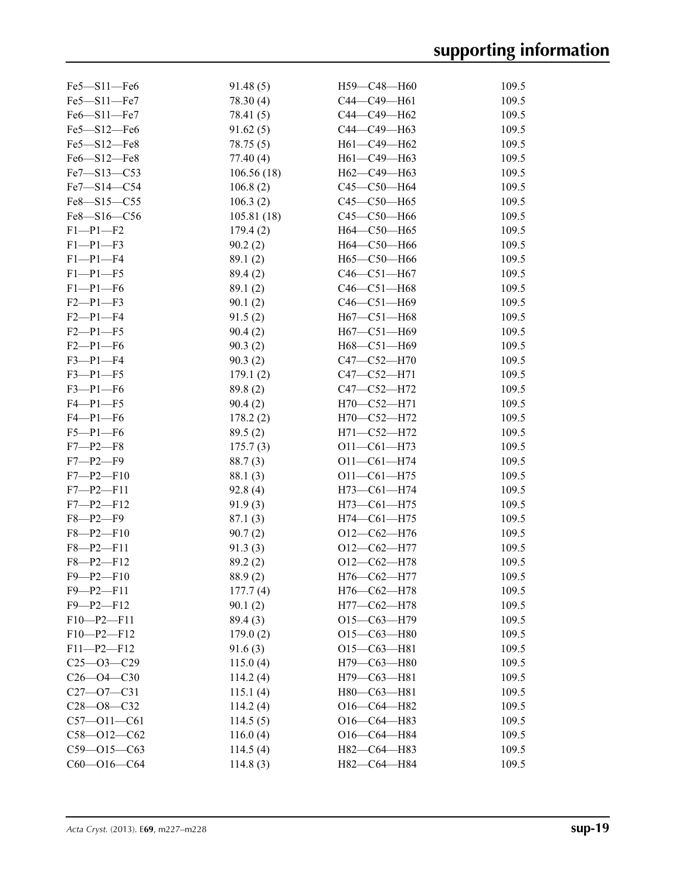| $Fe5 - S11 - Fe6$ | 91.48(5)   | $H59-C48-H60$     | 109.5 |
|-------------------|------------|-------------------|-------|
| Fe5-S11-Fe7       | 78.30 (4)  | C44-C49-H61       | 109.5 |
| Fe6-S11-Fe7       | 78.41 (5)  | C44-C49-H62       | 109.5 |
| Fe5-S12-Fe6       | 91.62(5)   | C44-C49-H63       | 109.5 |
| Fe5-S12-Fe8       | 78.75 (5)  | H61-C49-H62       | 109.5 |
| Fe6-S12-Fe8       | 77.40(4)   | H61-C49-H63       | 109.5 |
| Fe7-S13-C53       | 106.56(18) | H62-C49-H63       | 109.5 |
| Fe7-S14-C54       | 106.8(2)   | C45-C50-H64       | 109.5 |
| Fe8-S15-C55       | 106.3(2)   | $C45 - C50 - H65$ | 109.5 |
| Fe8-S16-C56       | 105.81(18) | C45-C50-H66       | 109.5 |
| $F1-P1-F2$        | 179.4(2)   | H64-C50-H65       | 109.5 |
| $F1-P1-F3$        | 90.2(2)    | H64-C50-H66       | 109.5 |
| $F1-P1-F4$        | 89.1(2)    | Н65-С50-Н66       | 109.5 |
| $F1-P1-F5$        | 89.4 (2)   | $C46 - C51 - H67$ | 109.5 |
| $F1-P1-F6$        | 89.1(2)    | $C46 - C51 - H68$ | 109.5 |
| $F2 - P1 - F3$    | 90.1(2)    | $C46 - C51 - H69$ | 109.5 |
| $F2-P1-F4$        | 91.5(2)    | H67-C51-H68       | 109.5 |
| $F2 - P1 - F5$    | 90.4(2)    | H67-C51-H69       | 109.5 |
| $F2 - P1 - F6$    | 90.3(2)    | H68-C51-H69       | 109.5 |
| $F3-P1-F4$        | 90.3(2)    | $C47 - C52 - H70$ | 109.5 |
| $F3 - P1 - F5$    | 179.1(2)   | $C47 - C52 - H71$ | 109.5 |
| $F3-P1-F6$        | 89.8(2)    | C47-C52-H72       | 109.5 |
| $F4 - P1 - F5$    | 90.4(2)    | H70-C52-H71       | 109.5 |
| $F4-P1-F6$        | 178.2(2)   | H70-C52-H72       | 109.5 |
| $F5-P1-F6$        | 89.5(2)    | H71-C52-H72       | 109.5 |
| $F7 - P2 - F8$    | 175.7(3)   | $O11 - C61 - H73$ | 109.5 |
| $F7 - P2 - F9$    | 88.7(3)    | $O11 - CO1 - H74$ | 109.5 |
| $F7 - P2 - F10$   | 88.1(3)    | $O11 - C61 - H75$ | 109.5 |
| $F7 - P2 - F11$   | 92.8(4)    | $H73-C61-H74$     | 109.5 |
| $F7 - P2 - F12$   | 91.9(3)    | $H73-C61-H75$     | 109.5 |
| $F8 - P2 - F9$    | 87.1(3)    | H74-C61-H75       | 109.5 |
| $F8 - P2 - F10$   | 90.7(2)    | $O12-C62-H76$     | 109.5 |
| $F8 - P2 - F11$   | 91.3(3)    | $O12-C62-H77$     | 109.5 |
| $F8 - P2 - F12$   | 89.2(2)    | $O12-C62-H78$     | 109.5 |
| $F9 - P2 - F10$   | 88.9(2)    | H76-C62-H77       | 109.5 |
| $F9 - P2 - F11$   | 177.7(4)   | $H76-C62-H78$     | 109.5 |
| $F9 - P2 - F12$   | 90.1(2)    | $H77-C62-H78$     | 109.5 |
| $F10-P2-F11$      | 89.4 (3)   | $O15-C63-H79$     | 109.5 |
| $F10-P2-F12$      | 179.0(2)   | $O15-C63-H80$     | 109.5 |
| $F11-P2-F12$      | 91.6(3)    | $O15-C63-H81$     | 109.5 |
| $C25 - 03 - C29$  | 115.0(4)   | H79-C63-H80       | 109.5 |
| $C26 - O4 - C30$  | 114.2(4)   | H79-C63-H81       | 109.5 |
| $C27 - 07 - C31$  | 115.1(4)   | H80-C63-H81       | 109.5 |
| $C28 - 08 - C32$  | 114.2(4)   | $O16-C64 - H82$   | 109.5 |
| $C57 - 011 - C61$ | 114.5(5)   | $O16-C64 - H83$   | 109.5 |
| $C58 - 012 - C62$ | 116.0(4)   | $O16-C64 - H84$   | 109.5 |
| $C59 - 015 - C63$ | 114.5(4)   | H82-C64-H83       | 109.5 |
| $C60 - O16 - C64$ | 114.8(3)   | H82-C64-H84       | 109.5 |